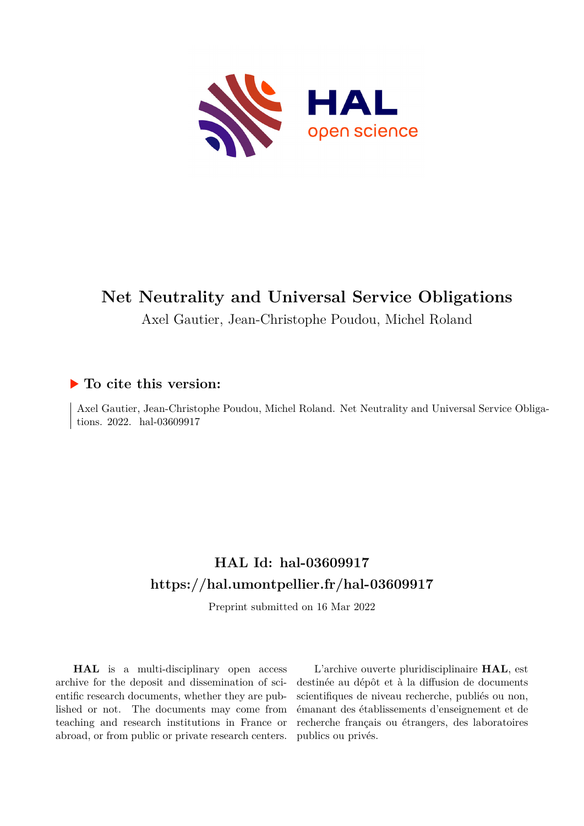

# **Net Neutrality and Universal Service Obligations**

Axel Gautier, Jean-Christophe Poudou, Michel Roland

## **To cite this version:**

Axel Gautier, Jean-Christophe Poudou, Michel Roland. Net Neutrality and Universal Service Obligations. 2022. hal-03609917

## **HAL Id: hal-03609917 <https://hal.umontpellier.fr/hal-03609917>**

Preprint submitted on 16 Mar 2022

**HAL** is a multi-disciplinary open access archive for the deposit and dissemination of scientific research documents, whether they are published or not. The documents may come from teaching and research institutions in France or abroad, or from public or private research centers.

L'archive ouverte pluridisciplinaire **HAL**, est destinée au dépôt et à la diffusion de documents scientifiques de niveau recherche, publiés ou non, émanant des établissements d'enseignement et de recherche français ou étrangers, des laboratoires publics ou privés.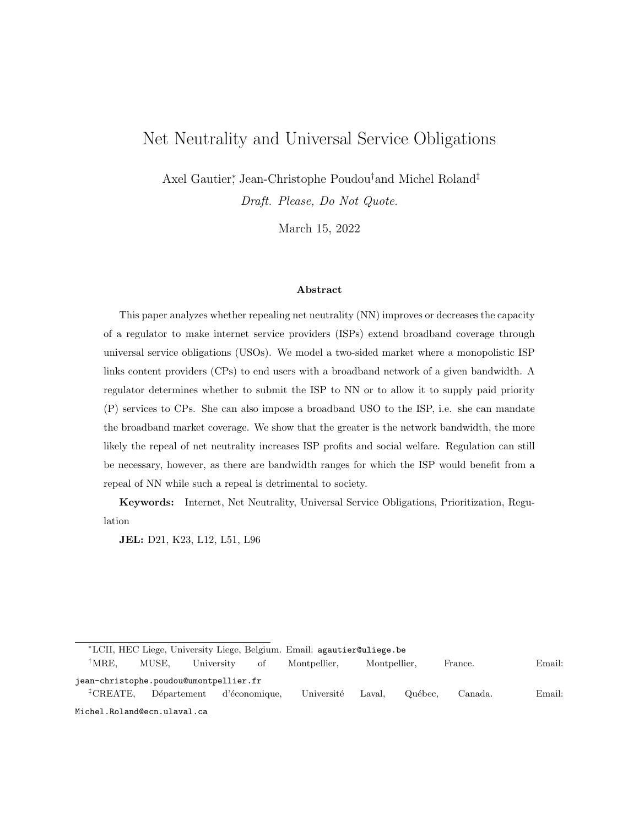## Net Neutrality and Universal Service Obligations

Axel Gautier<sup>∗</sup> , Jean-Christophe Poudou†and Michel Roland‡

Draft. Please, Do Not Quote.

March 15, 2022

#### Abstract

This paper analyzes whether repealing net neutrality (NN) improves or decreases the capacity of a regulator to make internet service providers (ISPs) extend broadband coverage through universal service obligations (USOs). We model a two-sided market where a monopolistic ISP links content providers (CPs) to end users with a broadband network of a given bandwidth. A regulator determines whether to submit the ISP to NN or to allow it to supply paid priority (P) services to CPs. She can also impose a broadband USO to the ISP, i.e. she can mandate the broadband market coverage. We show that the greater is the network bandwidth, the more likely the repeal of net neutrality increases ISP profits and social welfare. Regulation can still be necessary, however, as there are bandwidth ranges for which the ISP would benefit from a repeal of NN while such a repeal is detrimental to society.

Keywords: Internet, Net Neutrality, Universal Service Obligations, Prioritization, Regulation

JEL: D21, K23, L12, L51, L96

<sup>∗</sup>LCII, HEC Liege, University Liege, Belgium. Email: agautier@uliege.be

<sup>†</sup>MRE, MUSE, University of Montpellier, Montpellier, France. Email: jean-christophe.poudou@umontpellier.fr  ${}^{\ddagger}$ CREATE, Département d'économique, Université Laval, Québec, Canada. Email: Michel.Roland@ecn.ulaval.ca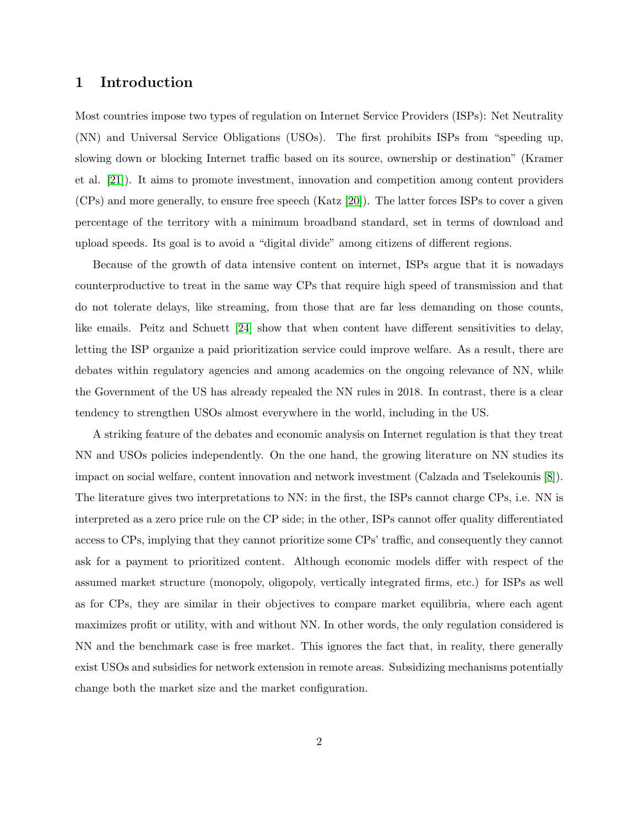## 1 Introduction

Most countries impose two types of regulation on Internet Service Providers (ISPs): Net Neutrality (NN) and Universal Service Obligations (USOs). The first prohibits ISPs from "speeding up, slowing down or blocking Internet traffic based on its source, ownership or destination" (Kramer et al. [21]). It aims to promote investment, innovation and competition among content providers (CPs) and more generally, to ensure free speech (Katz [20]). The latter forces ISPs to cover a given percentage of the territory with a minimum broadband standard, set in terms of download and upload speeds. Its goal is to avoid a "digital divide" among citizens of different regions.

Because of the growth of data intensive content on internet, ISPs argue that it is nowadays counterproductive to treat in the same way CPs that require high speed of transmission and that do not tolerate delays, like streaming, from those that are far less demanding on those counts, like emails. Peitz and Schuett [24] show that when content have different sensitivities to delay, letting the ISP organize a paid prioritization service could improve welfare. As a result, there are debates within regulatory agencies and among academics on the ongoing relevance of NN, while the Government of the US has already repealed the NN rules in 2018. In contrast, there is a clear tendency to strengthen USOs almost everywhere in the world, including in the US.

A striking feature of the debates and economic analysis on Internet regulation is that they treat NN and USOs policies independently. On the one hand, the growing literature on NN studies its impact on social welfare, content innovation and network investment (Calzada and Tselekounis [8]). The literature gives two interpretations to NN: in the first, the ISPs cannot charge CPs, i.e. NN is interpreted as a zero price rule on the CP side; in the other, ISPs cannot offer quality differentiated access to CPs, implying that they cannot prioritize some CPs' traffic, and consequently they cannot ask for a payment to prioritized content. Although economic models differ with respect of the assumed market structure (monopoly, oligopoly, vertically integrated firms, etc.) for ISPs as well as for CPs, they are similar in their objectives to compare market equilibria, where each agent maximizes profit or utility, with and without NN. In other words, the only regulation considered is NN and the benchmark case is free market. This ignores the fact that, in reality, there generally exist USOs and subsidies for network extension in remote areas. Subsidizing mechanisms potentially change both the market size and the market configuration.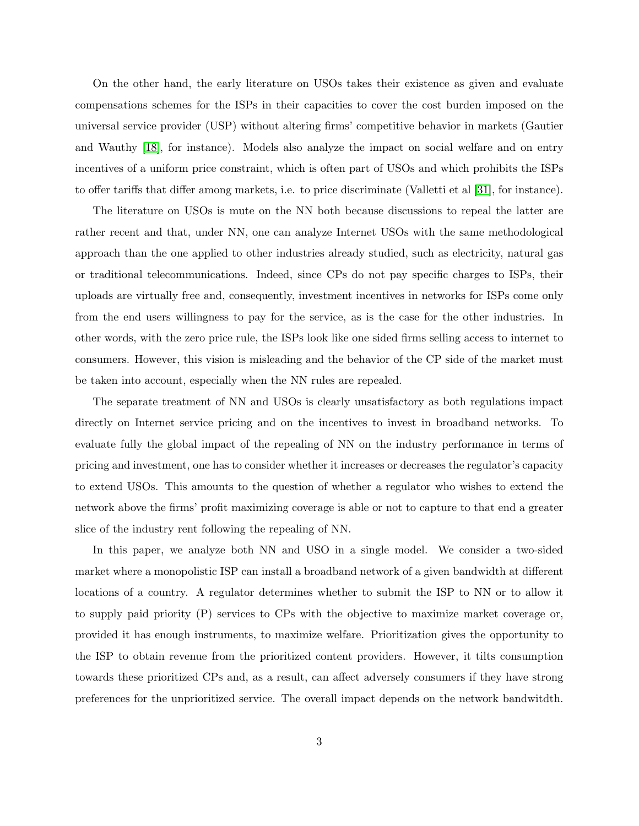On the other hand, the early literature on USOs takes their existence as given and evaluate compensations schemes for the ISPs in their capacities to cover the cost burden imposed on the universal service provider (USP) without altering firms' competitive behavior in markets (Gautier and Wauthy [18], for instance). Models also analyze the impact on social welfare and on entry incentives of a uniform price constraint, which is often part of USOs and which prohibits the ISPs to offer tariffs that differ among markets, i.e. to price discriminate (Valletti et al [31], for instance).

The literature on USOs is mute on the NN both because discussions to repeal the latter are rather recent and that, under NN, one can analyze Internet USOs with the same methodological approach than the one applied to other industries already studied, such as electricity, natural gas or traditional telecommunications. Indeed, since CPs do not pay specific charges to ISPs, their uploads are virtually free and, consequently, investment incentives in networks for ISPs come only from the end users willingness to pay for the service, as is the case for the other industries. In other words, with the zero price rule, the ISPs look like one sided firms selling access to internet to consumers. However, this vision is misleading and the behavior of the CP side of the market must be taken into account, especially when the NN rules are repealed.

The separate treatment of NN and USOs is clearly unsatisfactory as both regulations impact directly on Internet service pricing and on the incentives to invest in broadband networks. To evaluate fully the global impact of the repealing of NN on the industry performance in terms of pricing and investment, one has to consider whether it increases or decreases the regulator's capacity to extend USOs. This amounts to the question of whether a regulator who wishes to extend the network above the firms' profit maximizing coverage is able or not to capture to that end a greater slice of the industry rent following the repealing of NN.

In this paper, we analyze both NN and USO in a single model. We consider a two-sided market where a monopolistic ISP can install a broadband network of a given bandwidth at different locations of a country. A regulator determines whether to submit the ISP to NN or to allow it to supply paid priority (P) services to CPs with the objective to maximize market coverage or, provided it has enough instruments, to maximize welfare. Prioritization gives the opportunity to the ISP to obtain revenue from the prioritized content providers. However, it tilts consumption towards these prioritized CPs and, as a result, can affect adversely consumers if they have strong preferences for the unprioritized service. The overall impact depends on the network bandwitdth.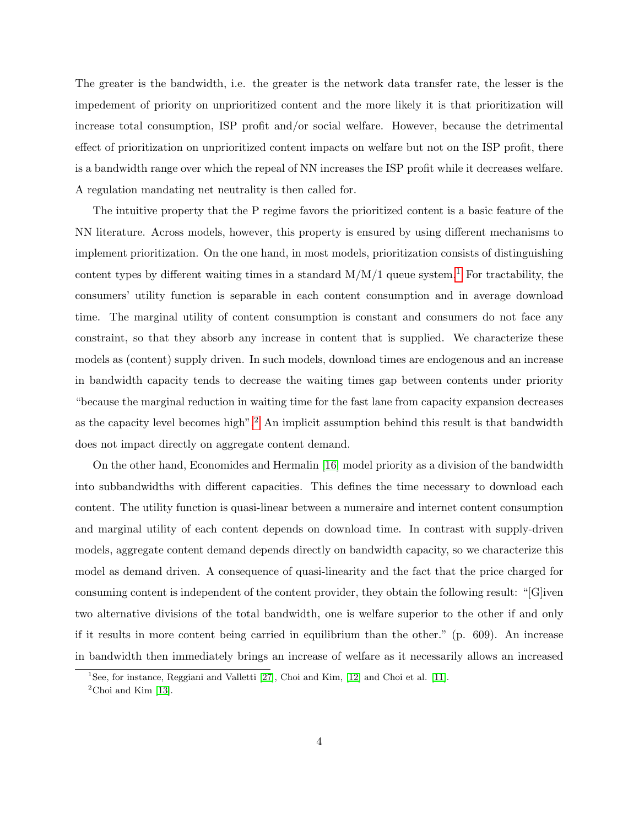The greater is the bandwidth, i.e. the greater is the network data transfer rate, the lesser is the impedement of priority on unprioritized content and the more likely it is that prioritization will increase total consumption, ISP profit and/or social welfare. However, because the detrimental effect of prioritization on unprioritized content impacts on welfare but not on the ISP profit, there is a bandwidth range over which the repeal of NN increases the ISP profit while it decreases welfare. A regulation mandating net neutrality is then called for.

The intuitive property that the P regime favors the prioritized content is a basic feature of the NN literature. Across models, however, this property is ensured by using different mechanisms to implement prioritization. On the one hand, in most models, prioritization consists of distinguishing content types by different waiting times in a standard  $M/M/1$  queue system.<sup>1</sup> For tractability, the consumers' utility function is separable in each content consumption and in average download time. The marginal utility of content consumption is constant and consumers do not face any constraint, so that they absorb any increase in content that is supplied. We characterize these models as (content) supply driven. In such models, download times are endogenous and an increase in bandwidth capacity tends to decrease the waiting times gap between contents under priority "because the marginal reduction in waiting time for the fast lane from capacity expansion decreases as the capacity level becomes high".<sup>2</sup> An implicit assumption behind this result is that bandwidth does not impact directly on aggregate content demand.

On the other hand, Economides and Hermalin [16] model priority as a division of the bandwidth into subbandwidths with different capacities. This defines the time necessary to download each content. The utility function is quasi-linear between a numeraire and internet content consumption and marginal utility of each content depends on download time. In contrast with supply-driven models, aggregate content demand depends directly on bandwidth capacity, so we characterize this model as demand driven. A consequence of quasi-linearity and the fact that the price charged for consuming content is independent of the content provider, they obtain the following result: "[G]iven two alternative divisions of the total bandwidth, one is welfare superior to the other if and only if it results in more content being carried in equilibrium than the other." (p. 609). An increase in bandwidth then immediately brings an increase of welfare as it necessarily allows an increased

<sup>&</sup>lt;sup>1</sup>See, for instance, Reggiani and Valletti [27], Choi and Kim, [12] and Choi et al. [11].

 $2^2$ Choi and Kim [13].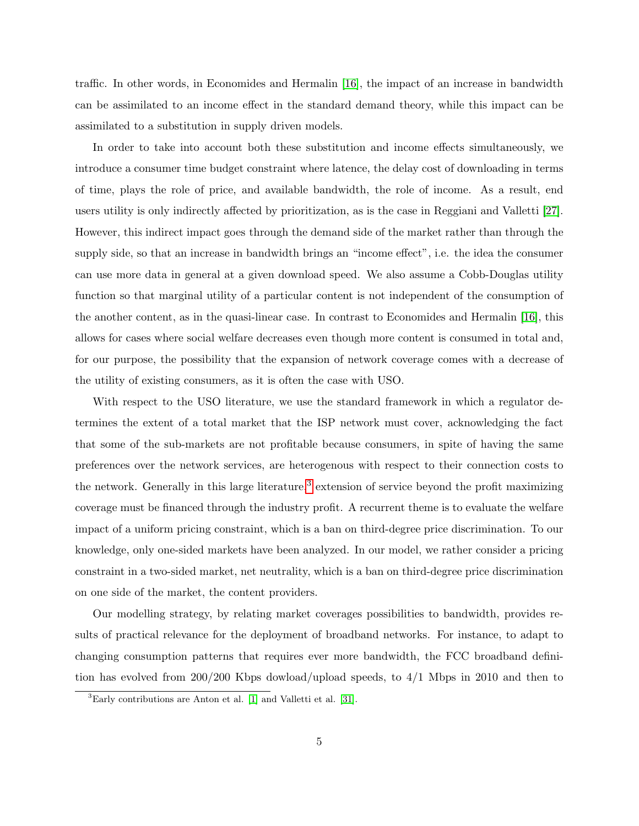traffic. In other words, in Economides and Hermalin [16], the impact of an increase in bandwidth can be assimilated to an income effect in the standard demand theory, while this impact can be assimilated to a substitution in supply driven models.

In order to take into account both these substitution and income effects simultaneously, we introduce a consumer time budget constraint where latence, the delay cost of downloading in terms of time, plays the role of price, and available bandwidth, the role of income. As a result, end users utility is only indirectly affected by prioritization, as is the case in Reggiani and Valletti [27]. However, this indirect impact goes through the demand side of the market rather than through the supply side, so that an increase in bandwidth brings an "income effect", i.e. the idea the consumer can use more data in general at a given download speed. We also assume a Cobb-Douglas utility function so that marginal utility of a particular content is not independent of the consumption of the another content, as in the quasi-linear case. In contrast to Economides and Hermalin [16], this allows for cases where social welfare decreases even though more content is consumed in total and, for our purpose, the possibility that the expansion of network coverage comes with a decrease of the utility of existing consumers, as it is often the case with USO.

With respect to the USO literature, we use the standard framework in which a regulator determines the extent of a total market that the ISP network must cover, acknowledging the fact that some of the sub-markets are not profitable because consumers, in spite of having the same preferences over the network services, are heterogenous with respect to their connection costs to the network. Generally in this large literature,<sup>3</sup> extension of service beyond the profit maximizing coverage must be financed through the industry profit. A recurrent theme is to evaluate the welfare impact of a uniform pricing constraint, which is a ban on third-degree price discrimination. To our knowledge, only one-sided markets have been analyzed. In our model, we rather consider a pricing constraint in a two-sided market, net neutrality, which is a ban on third-degree price discrimination on one side of the market, the content providers.

Our modelling strategy, by relating market coverages possibilities to bandwidth, provides results of practical relevance for the deployment of broadband networks. For instance, to adapt to changing consumption patterns that requires ever more bandwidth, the FCC broadband definition has evolved from 200/200 Kbps dowload/upload speeds, to 4/1 Mbps in 2010 and then to

 ${}^{3}$ Early contributions are Anton et al. [1] and Valletti et al. [31].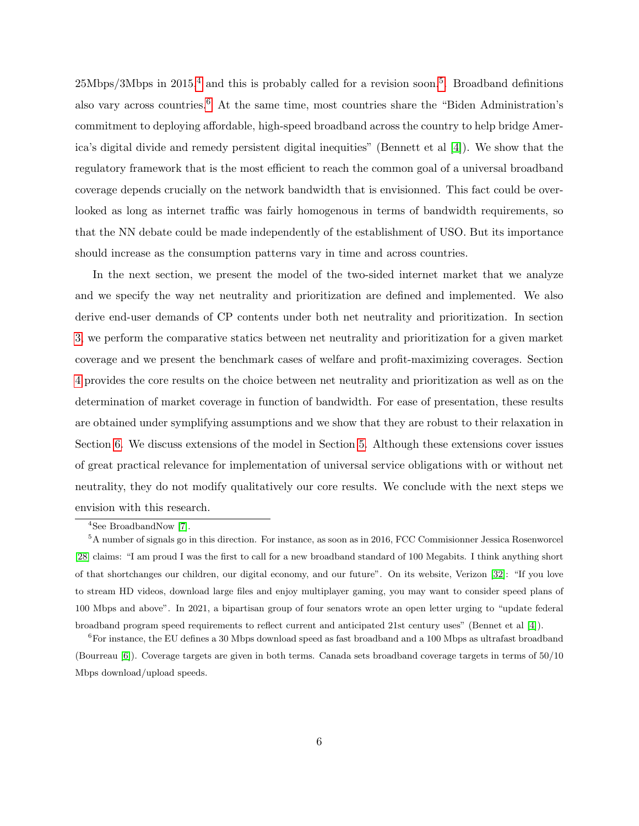$25Mbps/3Mbps$  in  $2015<sup>4</sup>$  and this is probably called for a revision soon.<sup>5</sup>. Broadband definitions also vary across countries.6 At the same time, most countries share the "Biden Administration's commitment to deploying affordable, high-speed broadband across the country to help bridge America's digital divide and remedy persistent digital inequities" (Bennett et al [4]). We show that the regulatory framework that is the most efficient to reach the common goal of a universal broadband coverage depends crucially on the network bandwidth that is envisionned. This fact could be overlooked as long as internet traffic was fairly homogenous in terms of bandwidth requirements, so that the NN debate could be made independently of the establishment of USO. But its importance should increase as the consumption patterns vary in time and across countries.

In the next section, we present the model of the two-sided internet market that we analyze and we specify the way net neutrality and prioritization are defined and implemented. We also derive end-user demands of CP contents under both net neutrality and prioritization. In section 3, we perform the comparative statics between net neutrality and prioritization for a given market coverage and we present the benchmark cases of welfare and profit-maximizing coverages. Section 4 provides the core results on the choice between net neutrality and prioritization as well as on the determination of market coverage in function of bandwidth. For ease of presentation, these results are obtained under symplifying assumptions and we show that they are robust to their relaxation in Section 6. We discuss extensions of the model in Section 5. Although these extensions cover issues of great practical relevance for implementation of universal service obligations with or without net neutrality, they do not modify qualitatively our core results. We conclude with the next steps we envision with this research.

<sup>4</sup>See BroadbandNow [7].

<sup>5</sup>A number of signals go in this direction. For instance, as soon as in 2016, FCC Commisionner Jessica Rosenworcel [28] claims: "I am proud I was the first to call for a new broadband standard of 100 Megabits. I think anything short of that shortchanges our children, our digital economy, and our future". On its website, Verizon [32]: "If you love to stream HD videos, download large files and enjoy multiplayer gaming, you may want to consider speed plans of 100 Mbps and above". In 2021, a bipartisan group of four senators wrote an open letter urging to "update federal broadband program speed requirements to reflect current and anticipated 21st century uses" (Bennet et al [4]).

<sup>&</sup>lt;sup>6</sup>For instance, the EU defines a 30 Mbps download speed as fast broadband and a 100 Mbps as ultrafast broadband (Bourreau [6]). Coverage targets are given in both terms. Canada sets broadband coverage targets in terms of 50/10 Mbps download/upload speeds.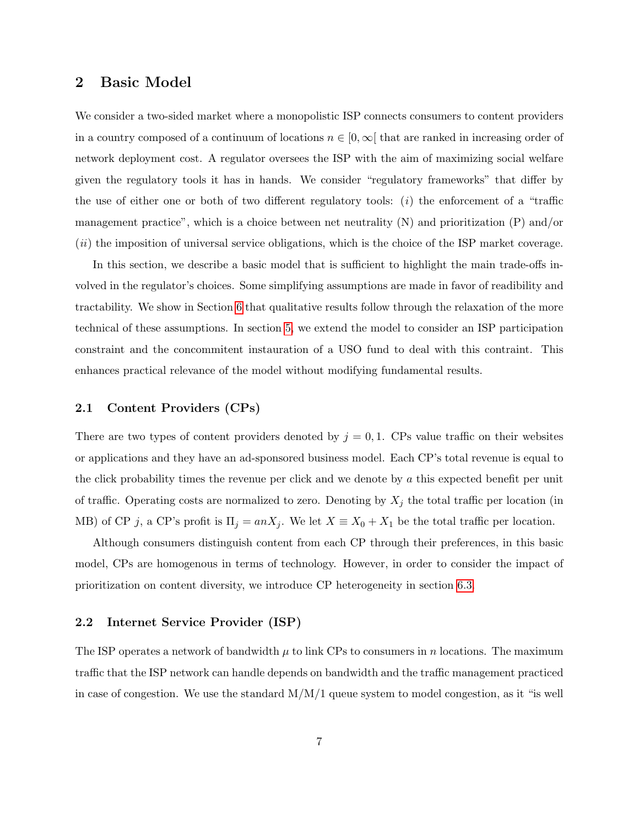## 2 Basic Model

We consider a two-sided market where a monopolistic ISP connects consumers to content providers in a country composed of a continuum of locations  $n \in [0, \infty]$  that are ranked in increasing order of network deployment cost. A regulator oversees the ISP with the aim of maximizing social welfare given the regulatory tools it has in hands. We consider "regulatory frameworks" that differ by the use of either one or both of two different regulatory tools:  $(i)$  the enforcement of a "traffic management practice", which is a choice between net neutrality (N) and prioritization (P) and/or (ii) the imposition of universal service obligations, which is the choice of the ISP market coverage.

In this section, we describe a basic model that is sufficient to highlight the main trade-offs involved in the regulator's choices. Some simplifying assumptions are made in favor of readibility and tractability. We show in Section 6 that qualitative results follow through the relaxation of the more technical of these assumptions. In section 5, we extend the model to consider an ISP participation constraint and the concommitent instauration of a USO fund to deal with this contraint. This enhances practical relevance of the model without modifying fundamental results.

#### 2.1 Content Providers (CPs)

There are two types of content providers denoted by  $j = 0, 1$ . CPs value traffic on their websites or applications and they have an ad-sponsored business model. Each CP's total revenue is equal to the click probability times the revenue per click and we denote by a this expected benefit per unit of traffic. Operating costs are normalized to zero. Denoting by  $X_j$  the total traffic per location (in MB) of CP j, a CP's profit is  $\Pi_j = anX_j$ . We let  $X \equiv X_0 + X_1$  be the total traffic per location.

Although consumers distinguish content from each CP through their preferences, in this basic model, CPs are homogenous in terms of technology. However, in order to consider the impact of prioritization on content diversity, we introduce CP heterogeneity in section 6.3.

#### 2.2 Internet Service Provider (ISP)

The ISP operates a network of bandwidth  $\mu$  to link CPs to consumers in n locations. The maximum traffic that the ISP network can handle depends on bandwidth and the traffic management practiced in case of congestion. We use the standard  $M/M/1$  queue system to model congestion, as it "is well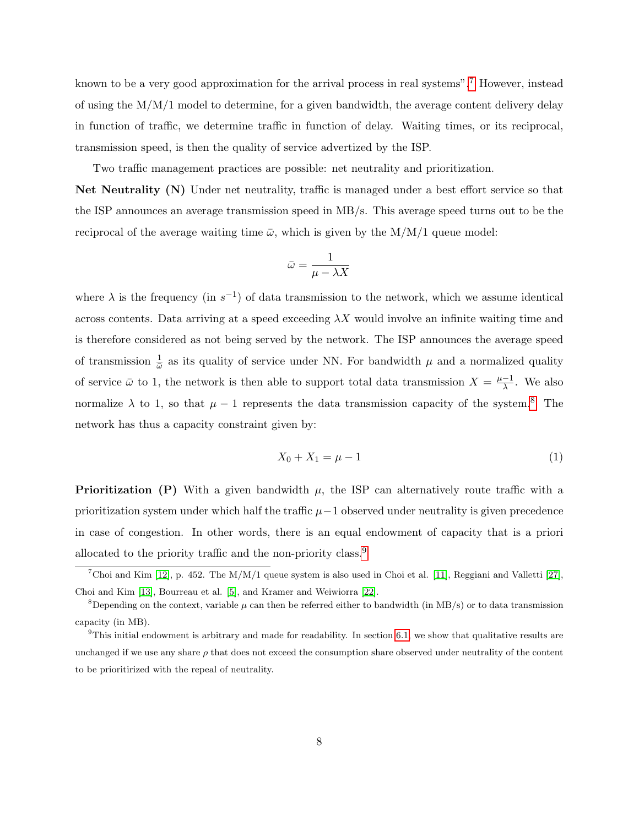known to be a very good approximation for the arrival process in real systems".7 However, instead of using the  $M/M/1$  model to determine, for a given bandwidth, the average content delivery delay in function of traffic, we determine traffic in function of delay. Waiting times, or its reciprocal, transmission speed, is then the quality of service advertized by the ISP.

Two traffic management practices are possible: net neutrality and prioritization.

Net Neutrality (N) Under net neutrality, traffic is managed under a best effort service so that the ISP announces an average transmission speed in MB/s. This average speed turns out to be the reciprocal of the average waiting time  $\bar{\omega}$ , which is given by the M/M/1 queue model:

$$
\bar{\omega}=\frac{1}{\mu-\lambda X}
$$

where  $\lambda$  is the frequency (in  $s^{-1}$ ) of data transmission to the network, which we assume identical across contents. Data arriving at a speed exceeding  $\lambda X$  would involve an infinite waiting time and is therefore considered as not being served by the network. The ISP announces the average speed of transmission  $\frac{1}{\bar{\omega}}$  as its quality of service under NN. For bandwidth  $\mu$  and a normalized quality of service  $\bar{\omega}$  to 1, the network is then able to support total data transmission  $X = \frac{\mu - 1}{\lambda}$  $\frac{-1}{\lambda}$ . We also normalize  $\lambda$  to 1, so that  $\mu - 1$  represents the data transmission capacity of the system.<sup>8</sup> The network has thus a capacity constraint given by:

$$
X_0 + X_1 = \mu - 1 \tag{1}
$$

**Prioritization (P)** With a given bandwidth  $\mu$ , the ISP can alternatively route traffic with a prioritization system under which half the traffic  $\mu-1$  observed under neutrality is given precedence in case of congestion. In other words, there is an equal endowment of capacity that is a priori allocated to the priority traffic and the non-priority class.9

<sup>&</sup>lt;sup>7</sup>Choi and Kim [12], p. 452. The M/M/1 queue system is also used in Choi et al. [11], Reggiani and Valletti [27], Choi and Kim [13], Bourreau et al. [5], and Kramer and Weiwiorra [22].

<sup>&</sup>lt;sup>8</sup>Depending on the context, variable  $\mu$  can then be referred either to bandwidth (in MB/s) or to data transmission capacity (in MB).

 $9$ This initial endowment is arbitrary and made for readability. In section 6.1, we show that qualitative results are unchanged if we use any share  $\rho$  that does not exceed the consumption share observed under neutrality of the content to be prioritirized with the repeal of neutrality.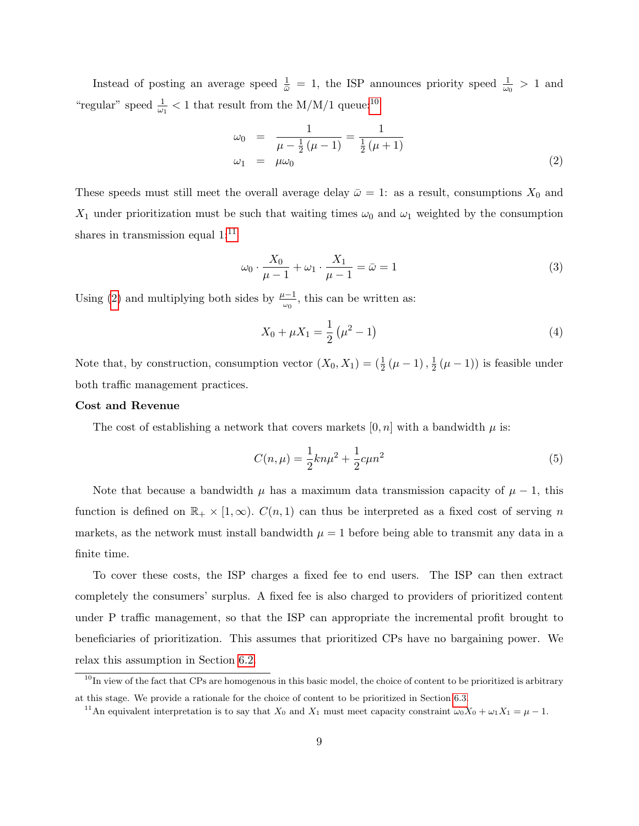Instead of posting an average speed  $\frac{1}{\bar{\omega}} = 1$ , the ISP announces priority speed  $\frac{1}{\omega_0} > 1$  and "regular" speed  $\frac{1}{\omega_1} < 1$  that result from the M/M/1 queue:<sup>10</sup>

$$
\omega_0 = \frac{1}{\mu - \frac{1}{2}(\mu - 1)} = \frac{1}{\frac{1}{2}(\mu + 1)}
$$
  
\n
$$
\omega_1 = \mu \omega_0
$$
 (2)

These speeds must still meet the overall average delay  $\bar{\omega} = 1$ : as a result, consumptions  $X_0$  and  $X_1$  under prioritization must be such that waiting times  $\omega_0$  and  $\omega_1$  weighted by the consumption shares in transmission equal  $1:^{11}$ 

$$
\omega_0 \cdot \frac{X_0}{\mu - 1} + \omega_1 \cdot \frac{X_1}{\mu - 1} = \bar{\omega} = 1
$$
\n<sup>(3)</sup>

Using (2) and multiplying both sides by  $\frac{\mu-1}{\omega_0}$ , this can be written as:

$$
X_0 + \mu X_1 = \frac{1}{2} \left( \mu^2 - 1 \right) \tag{4}
$$

Note that, by construction, consumption vector  $(X_0, X_1) = (\frac{1}{2}(\mu - 1), \frac{1}{2})$  $\frac{1}{2}(\mu-1)$  is feasible under both traffic management practices.

#### Cost and Revenue

The cost of establishing a network that covers markets  $[0, n]$  with a bandwidth  $\mu$  is:

$$
C(n,\mu) = \frac{1}{2}kn\mu^2 + \frac{1}{2}c\mu n^2
$$
\n(5)

Note that because a bandwidth  $\mu$  has a maximum data transmission capacity of  $\mu - 1$ , this function is defined on  $\mathbb{R}_+ \times [1,\infty)$ .  $C(n,1)$  can thus be interpreted as a fixed cost of serving n markets, as the network must install bandwidth  $\mu = 1$  before being able to transmit any data in a finite time.

To cover these costs, the ISP charges a fixed fee to end users. The ISP can then extract completely the consumers' surplus. A fixed fee is also charged to providers of prioritized content under P traffic management, so that the ISP can appropriate the incremental profit brought to beneficiaries of prioritization. This assumes that prioritized CPs have no bargaining power. We relax this assumption in Section 6.2.

 $10$ In view of the fact that CPs are homogenous in this basic model, the choice of content to be prioritized is arbitrary at this stage. We provide a rationale for the choice of content to be prioritized in Section 6.3.

<sup>&</sup>lt;sup>11</sup>An equivalent interpretation is to say that  $X_0$  and  $X_1$  must meet capacity constraint  $\omega_0 X_0 + \omega_1 X_1 = \mu - 1$ .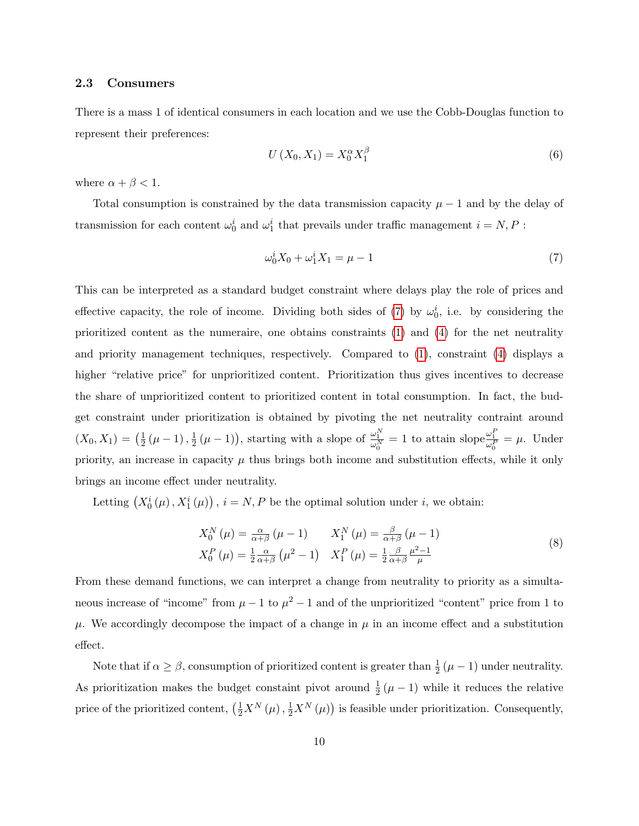#### 2.3 Consumers

There is a mass 1 of identical consumers in each location and we use the Cobb-Douglas function to represent their preferences:

$$
U\left(X_0, X_1\right) = X_0^\alpha X_1^\beta\tag{6}
$$

where  $\alpha + \beta < 1$ .

Total consumption is constrained by the data transmission capacity  $\mu - 1$  and by the delay of transmission for each content  $\omega_0^i$  and  $\omega_1^i$  that prevails under traffic management  $i = N, P$ :

$$
\omega_0^i X_0 + \omega_1^i X_1 = \mu - 1 \tag{7}
$$

This can be interpreted as a standard budget constraint where delays play the role of prices and effective capacity, the role of income. Dividing both sides of (7) by  $\omega_0^i$ , i.e. by considering the prioritized content as the numeraire, one obtains constraints (1) and (4) for the net neutrality and priority management techniques, respectively. Compared to (1), constraint (4) displays a higher "relative price" for unprioritized content. Prioritization thus gives incentives to decrease the share of unprioritized content to prioritized content in total consumption. In fact, the budget constraint under prioritization is obtained by pivoting the net neutrality contraint around  $(X_0, X_1) = \left(\frac{1}{2}\right)$  $\frac{1}{2}(\mu-1),\frac{1}{2}$  $\frac{1}{2}(\mu-1)$ , starting with a slope of  $\frac{\omega_1^N}{\omega_0^N}=1$  to attain slope  $\frac{\omega_1^P}{\omega_0^P}=\mu$ . Under priority, an increase in capacity  $\mu$  thus brings both income and substitution effects, while it only brings an income effect under neutrality.

Letting  $(X_0^i(\mu), X_1^i(\mu))$ ,  $i = N, P$  be the optimal solution under i, we obtain:

$$
X_0^N(\mu) = \frac{\alpha}{\alpha + \beta} (\mu - 1) \qquad X_1^N(\mu) = \frac{\beta}{\alpha + \beta} (\mu - 1)
$$
  

$$
X_0^P(\mu) = \frac{1}{2} \frac{\alpha}{\alpha + \beta} (\mu^2 - 1) \qquad X_1^P(\mu) = \frac{1}{2} \frac{\beta}{\alpha + \beta} \frac{\mu^2 - 1}{\mu}
$$
 (8)

From these demand functions, we can interpret a change from neutrality to priority as a simultaneous increase of "income" from  $\mu - 1$  to  $\mu^2 - 1$  and of the unprioritized "content" price from 1 to  $\mu$ . We accordingly decompose the impact of a change in  $\mu$  in an income effect and a substitution effect.

Note that if  $\alpha \geq \beta$ , consumption of prioritized content is greater than  $\frac{1}{2}(\mu - 1)$  under neutrality. As prioritization makes the budget constaint pivot around  $\frac{1}{2}(\mu - 1)$  while it reduces the relative price of the prioritized content,  $(\frac{1}{2}X^N(\mu), \frac{1}{2}X^N(\mu))$  is feasible under prioritization. Consequently,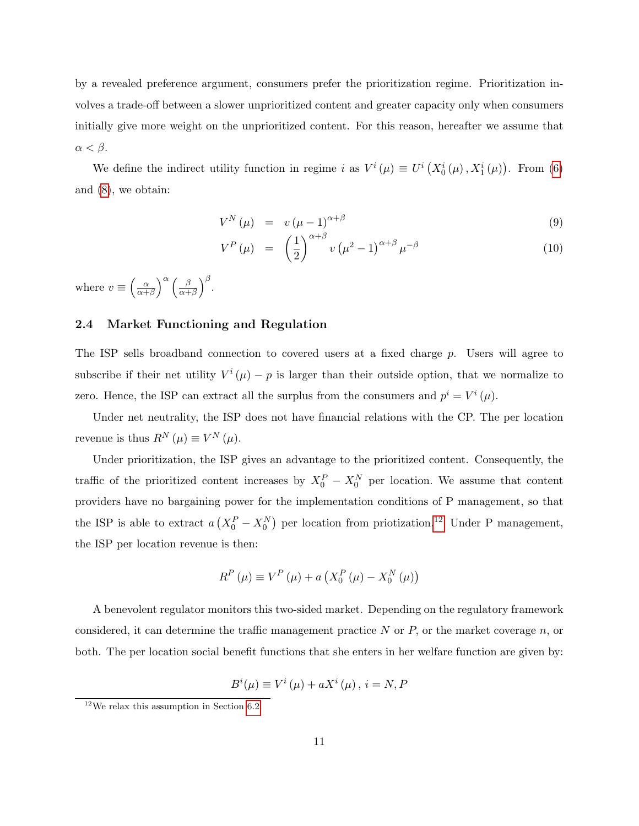by a revealed preference argument, consumers prefer the prioritization regime. Prioritization involves a trade-off between a slower unprioritized content and greater capacity only when consumers initially give more weight on the unprioritized content. For this reason, hereafter we assume that  $\alpha < \beta$ .

We define the indirect utility function in regime i as  $V^i(\mu) \equiv U^i(X_0^i(\mu), X_1^i(\mu))$ . From (6) and (8), we obtain:

$$
V^N(\mu) = v(\mu - 1)^{\alpha + \beta} \tag{9}
$$

$$
V^{P}(\mu) = \left(\frac{1}{2}\right)^{\alpha+\beta} v \left(\mu^{2}-1\right)^{\alpha+\beta} \mu^{-\beta} \tag{10}
$$

where  $v \equiv \left(\frac{\alpha}{\alpha + \alpha}\right)$  $\frac{\alpha}{\alpha+\beta}$ <sup>\alleqraphy}</sup> $\left(\frac{\beta}{\alpha+\beta}\right)$  $\frac{\beta}{\alpha+\beta}$ )<sup>β</sup>.

#### 2.4 Market Functioning and Regulation

The ISP sells broadband connection to covered users at a fixed charge p. Users will agree to subscribe if their net utility  $V^{i}(\mu) - p$  is larger than their outside option, that we normalize to zero. Hence, the ISP can extract all the surplus from the consumers and  $p^{i} = V^{i}(\mu)$ .

Under net neutrality, the ISP does not have financial relations with the CP. The per location revenue is thus  $R^N(\mu) \equiv V^N(\mu)$ .

Under prioritization, the ISP gives an advantage to the prioritized content. Consequently, the traffic of the prioritized content increases by  $X_0^P - X_0^N$  per location. We assume that content providers have no bargaining power for the implementation conditions of P management, so that the ISP is able to extract  $a(X_0^P - X_0^N)$  per location from priotization.<sup>12</sup> Under P management, the ISP per location revenue is then:

$$
R^{P}(\mu) \equiv V^{P}(\mu) + a\left(X_{0}^{P}(\mu) - X_{0}^{N}(\mu)\right)
$$

A benevolent regulator monitors this two-sided market. Depending on the regulatory framework considered, it can determine the traffic management practice  $N$  or  $P$ , or the market coverage  $n$ , or both. The per location social benefit functions that she enters in her welfare function are given by:

$$
B^{i}(\mu) \equiv V^{i}(\mu) + aX^{i}(\mu), i = N, P
$$

 $12$ We relax this assumption in Section 6.2.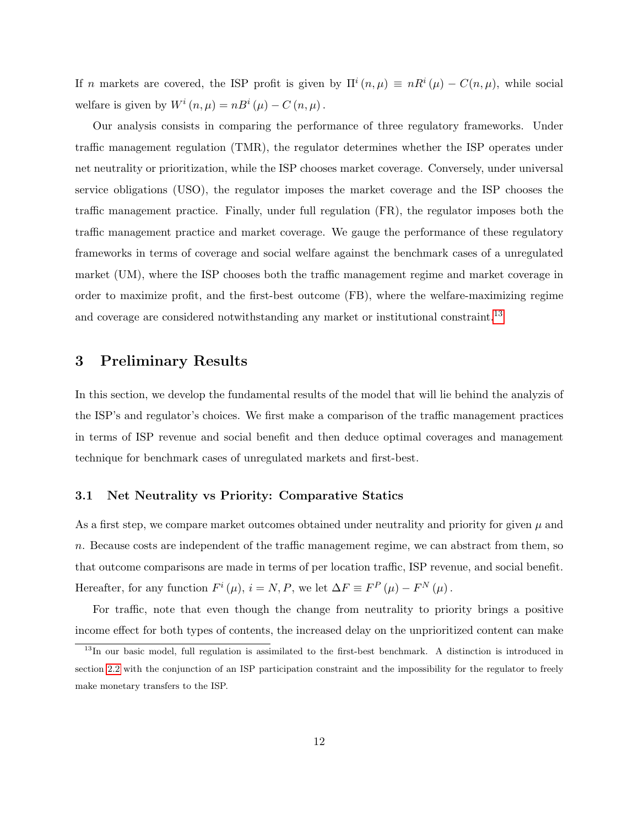If n markets are covered, the ISP profit is given by  $\Pi^{i}(n,\mu) \equiv nR^{i}(\mu) - C(n,\mu)$ , while social welfare is given by  $W^i(n,\mu) = nB^i(\mu) - C(n,\mu)$ .

Our analysis consists in comparing the performance of three regulatory frameworks. Under traffic management regulation (TMR), the regulator determines whether the ISP operates under net neutrality or prioritization, while the ISP chooses market coverage. Conversely, under universal service obligations (USO), the regulator imposes the market coverage and the ISP chooses the traffic management practice. Finally, under full regulation (FR), the regulator imposes both the traffic management practice and market coverage. We gauge the performance of these regulatory frameworks in terms of coverage and social welfare against the benchmark cases of a unregulated market (UM), where the ISP chooses both the traffic management regime and market coverage in order to maximize profit, and the first-best outcome (FB), where the welfare-maximizing regime and coverage are considered notwithstanding any market or institutional constraint.<sup>13</sup>

## 3 Preliminary Results

In this section, we develop the fundamental results of the model that will lie behind the analyzis of the ISP's and regulator's choices. We first make a comparison of the traffic management practices in terms of ISP revenue and social benefit and then deduce optimal coverages and management technique for benchmark cases of unregulated markets and first-best.

#### 3.1 Net Neutrality vs Priority: Comparative Statics

As a first step, we compare market outcomes obtained under neutrality and priority for given  $\mu$  and n. Because costs are independent of the traffic management regime, we can abstract from them, so that outcome comparisons are made in terms of per location traffic, ISP revenue, and social benefit. Hereafter, for any function  $F^{i}(\mu)$ ,  $i = N, P$ , we let  $\Delta F \equiv F^{P}(\mu) - F^{N}(\mu)$ .

For traffic, note that even though the change from neutrality to priority brings a positive income effect for both types of contents, the increased delay on the unprioritized content can make

<sup>&</sup>lt;sup>13</sup>In our basic model, full regulation is assimilated to the first-best benchmark. A distinction is introduced in section 2.2 with the conjunction of an ISP participation constraint and the impossibility for the regulator to freely make monetary transfers to the ISP.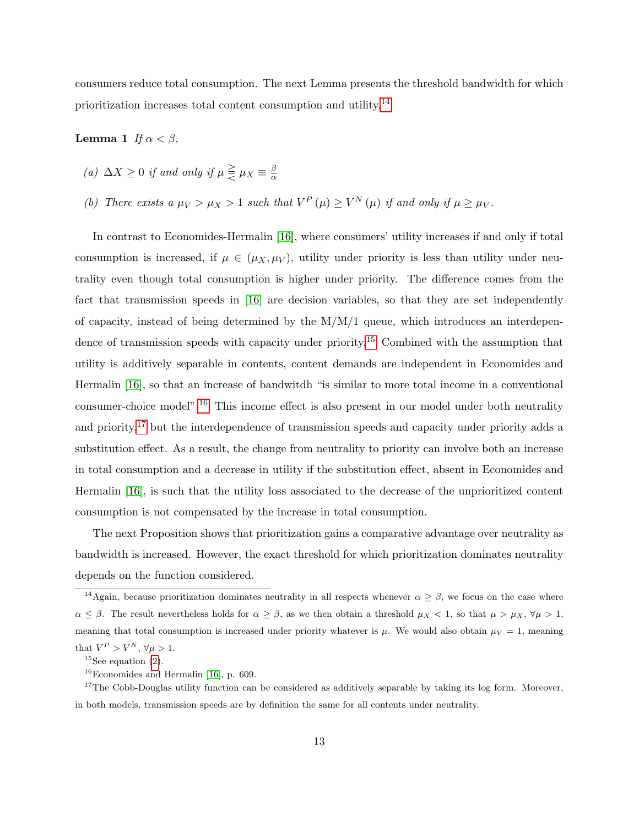consumers reduce total consumption. The next Lemma presents the threshold bandwidth for which prioritization increases total content consumption and utility.14

#### Lemma 1 If  $\alpha < \beta$ ,

- (a)  $\Delta X \geq 0$  if and only if  $\mu \geqq \mu_X \equiv \frac{\beta}{\alpha}$ α
- (b) There exists a  $\mu_V > \mu_X > 1$  such that  $V^P(\mu) \geq V^N(\mu)$  if and only if  $\mu \geq \mu_V$ .

In contrast to Economides-Hermalin [16], where consumers' utility increases if and only if total consumption is increased, if  $\mu \in (\mu_X, \mu_Y)$ , utility under priority is less than utility under neutrality even though total consumption is higher under priority. The difference comes from the fact that transmission speeds in [16] are decision variables, so that they are set independently of capacity, instead of being determined by the M/M/1 queue, which introduces an interdependence of transmission speeds with capacity under priority.<sup>15</sup> Combined with the assumption that utility is additively separable in contents, content demands are independent in Economides and Hermalin [16], so that an increase of bandwitdh "is similar to more total income in a conventional consumer-choice model".16 This income effect is also present in our model under both neutrality and priority, $17$  but the interdependence of transmission speeds and capacity under priority adds a substitution effect. As a result, the change from neutrality to priority can involve both an increase in total consumption and a decrease in utility if the substitution effect, absent in Economides and Hermalin [16], is such that the utility loss associated to the decrease of the unprioritized content consumption is not compensated by the increase in total consumption.

The next Proposition shows that prioritization gains a comparative advantage over neutrality as bandwidth is increased. However, the exact threshold for which prioritization dominates neutrality depends on the function considered.

<sup>&</sup>lt;sup>14</sup>Again, because prioritization dominates neutrality in all respects whenever  $\alpha \geq \beta$ , we focus on the case where  $\alpha \leq \beta$ . The result nevertheless holds for  $\alpha \geq \beta$ , as we then obtain a threshold  $\mu_X < 1$ , so that  $\mu > \mu_X$ ,  $\forall \mu > 1$ , meaning that total consumption is increased under priority whatever is  $\mu$ . We would also obtain  $\mu_V = 1$ , meaning that  $V^P > V^N$ ,  $\forall \mu > 1$ .

 $15$ See equation (2).

 $16$ Economides and Hermalin [16], p. 609.

<sup>&</sup>lt;sup>17</sup>The Cobb-Douglas utility function can be considered as additively separable by taking its log form. Moreover, in both models, transmission speeds are by definition the same for all contents under neutrality.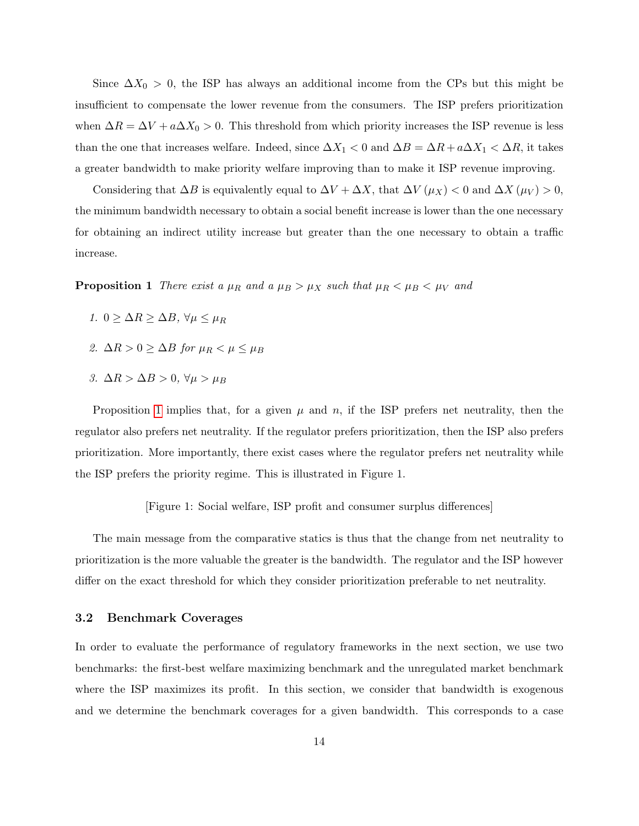Since  $\Delta X_0 > 0$ , the ISP has always an additional income from the CPs but this might be insufficient to compensate the lower revenue from the consumers. The ISP prefers prioritization when  $\Delta R = \Delta V + a\Delta X_0 > 0$ . This threshold from which priority increases the ISP revenue is less than the one that increases welfare. Indeed, since  $\Delta X_1 < 0$  and  $\Delta B = \Delta R + a\Delta X_1 < \Delta R$ , it takes a greater bandwidth to make priority welfare improving than to make it ISP revenue improving.

Considering that  $\Delta B$  is equivalently equal to  $\Delta V + \Delta X$ , that  $\Delta V(\mu_X) < 0$  and  $\Delta X(\mu_V) > 0$ , the minimum bandwidth necessary to obtain a social benefit increase is lower than the one necessary for obtaining an indirect utility increase but greater than the one necessary to obtain a traffic increase.

**Proposition 1** There exist a  $\mu_R$  and a  $\mu_B > \mu_X$  such that  $\mu_R < \mu_B < \mu_V$  and

- 1.  $0 \geq \Delta R \geq \Delta B$ ,  $\forall \mu \leq \mu_R$
- 2.  $\Delta R > 0 \geq \Delta B$  for  $\mu_R < \mu \leq \mu_B$
- 3.  $\Delta R > \Delta B > 0$ ,  $\forall \mu > \mu_B$

Proposition 1 implies that, for a given  $\mu$  and  $n$ , if the ISP prefers net neutrality, then the regulator also prefers net neutrality. If the regulator prefers prioritization, then the ISP also prefers prioritization. More importantly, there exist cases where the regulator prefers net neutrality while the ISP prefers the priority regime. This is illustrated in Figure 1.

[Figure 1: Social welfare, ISP profit and consumer surplus differences]

The main message from the comparative statics is thus that the change from net neutrality to prioritization is the more valuable the greater is the bandwidth. The regulator and the ISP however differ on the exact threshold for which they consider prioritization preferable to net neutrality.

#### 3.2 Benchmark Coverages

In order to evaluate the performance of regulatory frameworks in the next section, we use two benchmarks: the first-best welfare maximizing benchmark and the unregulated market benchmark where the ISP maximizes its profit. In this section, we consider that bandwidth is exogenous and we determine the benchmark coverages for a given bandwidth. This corresponds to a case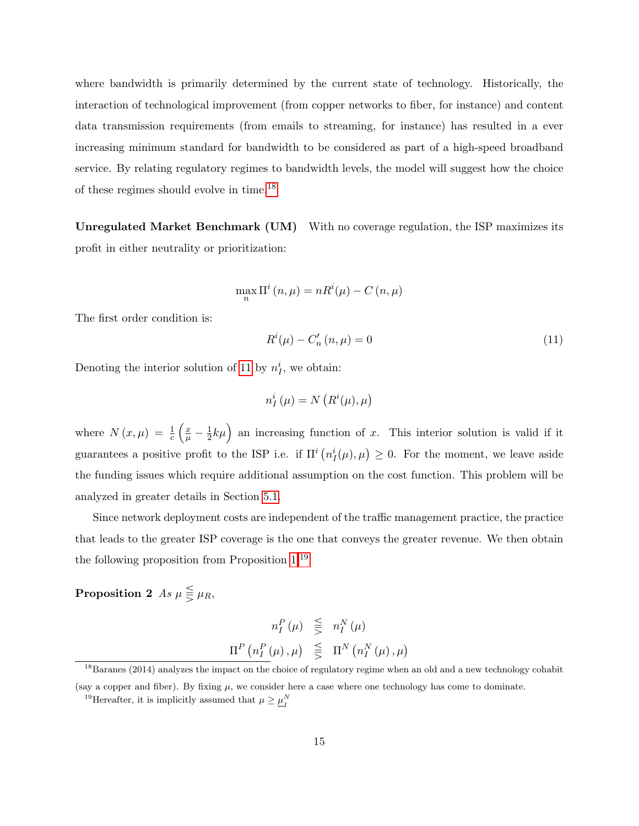where bandwidth is primarily determined by the current state of technology. Historically, the interaction of technological improvement (from copper networks to fiber, for instance) and content data transmission requirements (from emails to streaming, for instance) has resulted in a ever increasing minimum standard for bandwidth to be considered as part of a high-speed broadband service. By relating regulatory regimes to bandwidth levels, the model will suggest how the choice of these regimes should evolve in time.18

Unregulated Market Benchmark (UM) With no coverage regulation, the ISP maximizes its profit in either neutrality or prioritization:

$$
\max_{n} \Pi^{i}(n,\mu) = nR^{i}(\mu) - C(n,\mu)
$$

The first order condition is:

$$
R^{i}(\mu) - C'_{n}(n, \mu) = 0 \tag{11}
$$

Denoting the interior solution of 11 by  $n_I^i$ , we obtain:

$$
n_I^i(\mu) = N\left(R^i(\mu), \mu\right)
$$

where  $N(x,\mu) = \frac{1}{c} \left( \frac{x}{\mu} - \frac{1}{2} \right)$  $\frac{1}{2}k\mu$  an increasing function of x. This interior solution is valid if it guarantees a positive profit to the ISP i.e. if  $\Pi^{i}(n_{I}^{i}(\mu), \mu) \geq 0$ . For the moment, we leave aside the funding issues which require additional assumption on the cost function. This problem will be analyzed in greater details in Section 5.1.

Since network deployment costs are independent of the traffic management practice, the practice that leads to the greater ISP coverage is the one that conveys the greater revenue. We then obtain the following proposition from Proposition 1.19

Proposition 2 As  $\mu \leqq \mu_R$ ,

$$
n_I^P(\mu) \leq n_I^N(\mu)
$$
  

$$
\Pi^P(n_I^P(\mu), \mu) \leq \Pi^N(n_I^N(\mu), \mu)
$$

 $18B$ aranes (2014) analyzes the impact on the choice of regulatory regime when an old and a new technology cohabit (say a copper and fiber). By fixing  $\mu$ , we consider here a case where one technology has come to dominate.

<sup>&</sup>lt;sup>19</sup>Hereafter, it is implicitly assumed that  $\mu \geq \underline{\mu}_{I}^{N}$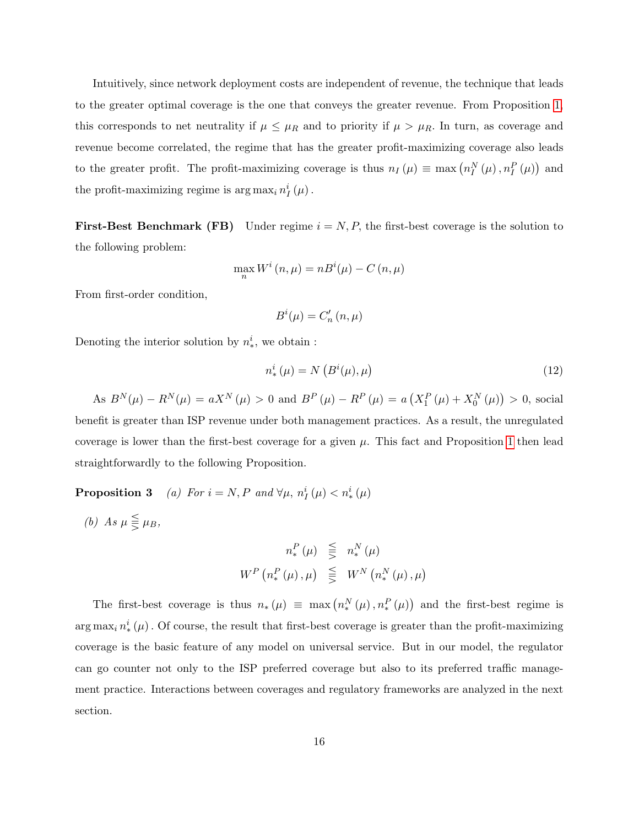Intuitively, since network deployment costs are independent of revenue, the technique that leads to the greater optimal coverage is the one that conveys the greater revenue. From Proposition 1, this corresponds to net neutrality if  $\mu \leq \mu_R$  and to priority if  $\mu > \mu_R$ . In turn, as coverage and revenue become correlated, the regime that has the greater profit-maximizing coverage also leads to the greater profit. The profit-maximizing coverage is thus  $n_I(\mu) \equiv \max(n_I^N(\mu), n_I^P(\mu))$  and the profit-maximizing regime is  $\arg \max_i n_I^i(\mu)$ .

**First-Best Benchmark (FB)** Under regime  $i = N, P$ , the first-best coverage is the solution to the following problem:

$$
\max_{n} W^{i}(n,\mu) = nB^{i}(\mu) - C(n,\mu)
$$

From first-order condition,

$$
B^i(\mu)=C'_n\left(n,\mu\right)
$$

Denoting the interior solution by  $n_*^i$ , we obtain:

$$
n^i_*\left(\mu\right) = N\left(B^i(\mu), \mu\right) \tag{12}
$$

As  $B^{N}(\mu) - R^{N}(\mu) = aX^{N}(\mu) > 0$  and  $B^{P}(\mu) - R^{P}(\mu) = a(X_{1}^{P}(\mu) + X_{0}^{N}(\mu)) > 0$ , social benefit is greater than ISP revenue under both management practices. As a result, the unregulated coverage is lower than the first-best coverage for a given  $\mu$ . This fact and Proposition 1 then lead straightforwardly to the following Proposition.

**Proposition 3** (a) For  $i = N, P$  and  $\forall \mu, n_I^i(\mu) < n_*^i(\mu)$ 

(b) As  $\mu \leqq \mu_B$ ,

$$
n_*^P(\mu) \leqq n_*^N(\mu)
$$
  

$$
W^P(n_*^P(\mu), \mu) \leqq W^N(n_*^N(\mu), \mu)
$$

The first-best coverage is thus  $n_*(\mu) \equiv \max(n_*^N(\mu), n_*^P(\mu))$  and the first-best regime is  $\arg \max_i n^i_*(\mu)$ . Of course, the result that first-best coverage is greater than the profit-maximizing coverage is the basic feature of any model on universal service. But in our model, the regulator can go counter not only to the ISP preferred coverage but also to its preferred traffic management practice. Interactions between coverages and regulatory frameworks are analyzed in the next section.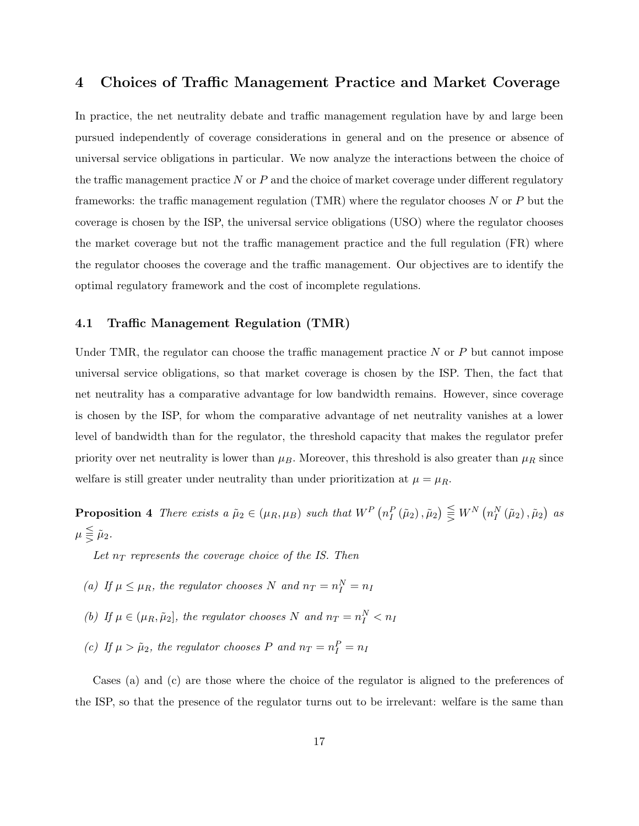## 4 Choices of Traffic Management Practice and Market Coverage

In practice, the net neutrality debate and traffic management regulation have by and large been pursued independently of coverage considerations in general and on the presence or absence of universal service obligations in particular. We now analyze the interactions between the choice of the traffic management practice  $N$  or  $P$  and the choice of market coverage under different regulatory frameworks: the traffic management regulation  $(TMR)$  where the regulator chooses N or P but the coverage is chosen by the ISP, the universal service obligations (USO) where the regulator chooses the market coverage but not the traffic management practice and the full regulation (FR) where the regulator chooses the coverage and the traffic management. Our objectives are to identify the optimal regulatory framework and the cost of incomplete regulations.

#### 4.1 Traffic Management Regulation (TMR)

Under TMR, the regulator can choose the traffic management practice  $N$  or  $P$  but cannot impose universal service obligations, so that market coverage is chosen by the ISP. Then, the fact that net neutrality has a comparative advantage for low bandwidth remains. However, since coverage is chosen by the ISP, for whom the comparative advantage of net neutrality vanishes at a lower level of bandwidth than for the regulator, the threshold capacity that makes the regulator prefer priority over net neutrality is lower than  $\mu_B$ . Moreover, this threshold is also greater than  $\mu_R$  since welfare is still greater under neutrality than under prioritization at  $\mu = \mu_R$ .

**Proposition 4** There exists a  $\tilde{\mu}_2 \in (\mu_R, \mu_B)$  such that  $W^P(n_I^P(\tilde{\mu}_2), \tilde{\mu}_2) \leq W^N(n_I^N(\tilde{\mu}_2), \tilde{\mu}_2)$  as  $\mu \leq \tilde{\mu}_2$ .

Let  $n_T$  represents the coverage choice of the IS. Then

- (a) If  $\mu \leq \mu_R$ , the regulator chooses N and  $n_T = n_I^N = n_I$
- (b) If  $\mu \in (\mu_R, \tilde{\mu}_2]$ , the regulator chooses N and  $n_T = n_I^N < n_I$
- (c) If  $\mu > \tilde{\mu}_2$ , the regulator chooses P and  $n_T = n_I^P = n_I$

Cases (a) and (c) are those where the choice of the regulator is aligned to the preferences of the ISP, so that the presence of the regulator turns out to be irrelevant: welfare is the same than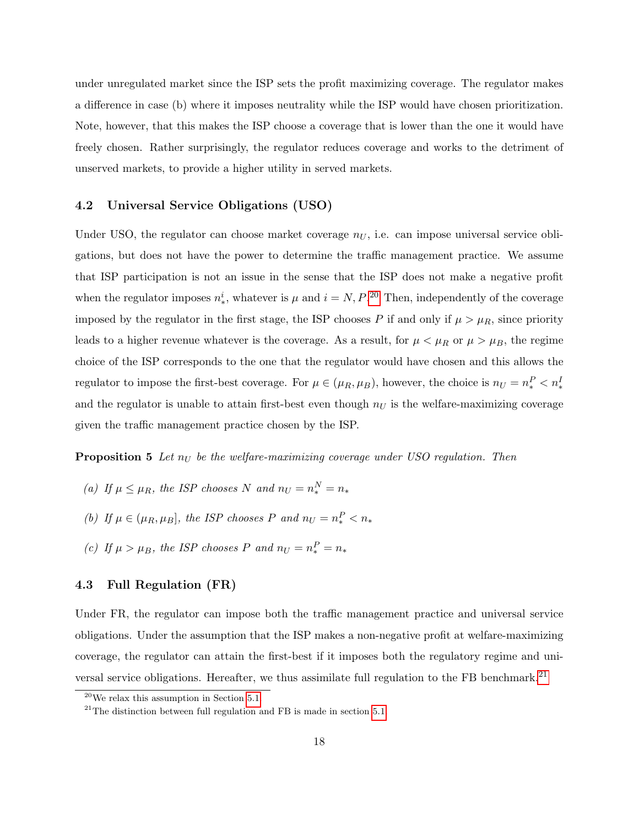under unregulated market since the ISP sets the profit maximizing coverage. The regulator makes a difference in case (b) where it imposes neutrality while the ISP would have chosen prioritization. Note, however, that this makes the ISP choose a coverage that is lower than the one it would have freely chosen. Rather surprisingly, the regulator reduces coverage and works to the detriment of unserved markets, to provide a higher utility in served markets.

#### 4.2 Universal Service Obligations (USO)

Under USO, the regulator can choose market coverage  $n_U$ , i.e. can impose universal service obligations, but does not have the power to determine the traffic management practice. We assume that ISP participation is not an issue in the sense that the ISP does not make a negative profit when the regulator imposes  $n_*^i$ , whatever is  $\mu$  and  $i = N, P$ .<sup>20</sup> Then, independently of the coverage imposed by the regulator in the first stage, the ISP chooses P if and only if  $\mu > \mu_R$ , since priority leads to a higher revenue whatever is the coverage. As a result, for  $\mu < \mu_R$  or  $\mu > \mu_B$ , the regime choice of the ISP corresponds to the one that the regulator would have chosen and this allows the regulator to impose the first-best coverage. For  $\mu \in (\mu_R, \mu_B)$ , however, the choice is  $n_U = n_*^P < n_*^I$ and the regulator is unable to attain first-best even though  $n<sub>U</sub>$  is the welfare-maximizing coverage given the traffic management practice chosen by the ISP.

**Proposition 5** Let  $n_U$  be the welfare-maximizing coverage under USO regulation. Then

- (a) If  $\mu \leq \mu_R$ , the ISP chooses N and  $n_U = n_*^N = n_*$
- (b) If  $\mu \in (\mu_R, \mu_B]$ , the ISP chooses P and  $n_U = n_*^P < n_*$
- (c) If  $\mu > \mu_B$ , the ISP chooses P and  $n_U = n_*^P = n_*$

#### 4.3 Full Regulation (FR)

Under FR, the regulator can impose both the traffic management practice and universal service obligations. Under the assumption that the ISP makes a non-negative profit at welfare-maximizing coverage, the regulator can attain the first-best if it imposes both the regulatory regime and universal service obligations. Hereafter, we thus assimilate full regulation to the FB benchmark.<sup>21</sup>

 $20$ We relax this assumption in Section 5.1.

 $^{21}$ The distinction between full regulation and FB is made in section 5.1.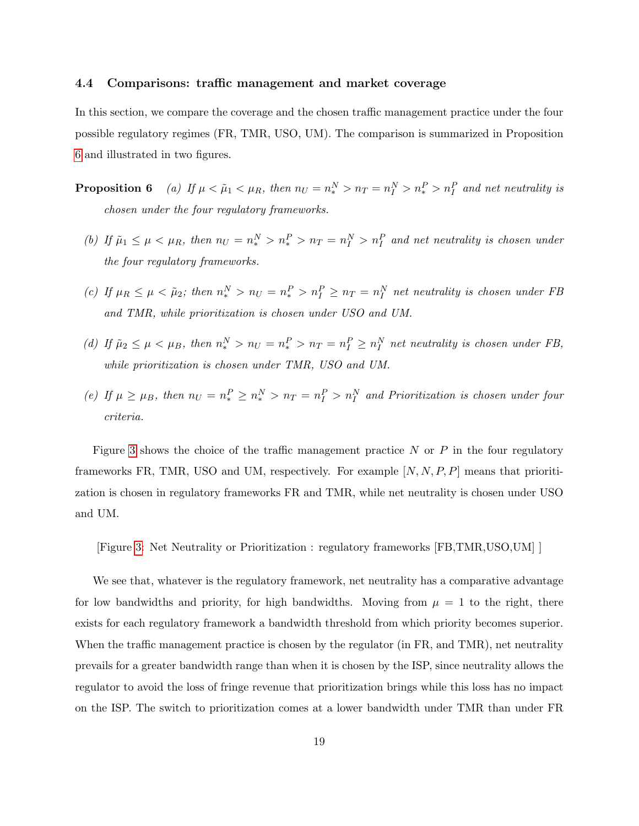#### 4.4 Comparisons: traffic management and market coverage

In this section, we compare the coverage and the chosen traffic management practice under the four possible regulatory regimes (FR, TMR, USO, UM). The comparison is summarized in Proposition 6 and illustrated in two figures.

**Proposition 6** (a) If  $\mu < \tilde{\mu}_1 < \mu_R$ , then  $n_U = n_*^N > n_T = n_I^N > n_*^P > n_I^P$  and net neutrality is chosen under the four regulatory frameworks.

- (b) If  $\tilde{\mu}_1 \leq \mu < \mu_R$ , then  $n_U = n_*^N > n_*^P > n_T = n_I^N > n_I^P$  and net neutrality is chosen under the four regulatory frameworks.
- (c) If  $\mu_R \leq \mu < \tilde{\mu}_2$ ; then  $n_*^N > n_U = n_*^P > n_I^P \geq n_T = n_I^N$  net neutrality is chosen under FB and TMR, while prioritization is chosen under USO and UM.
- (d) If  $\tilde{\mu}_2 \leq \mu < \mu_B$ , then  $n_*^N > n_U = n_*^P > n_T = n_I^P \geq n_I^N$  net neutrality is chosen under FB, while prioritization is chosen under TMR, USO and UM.
- (e) If  $\mu \ge \mu_B$ , then  $n_U = n_*^P \ge n_*^N > n_T = n_I^P > n_I^N$  and Prioritization is chosen under four criteria.

Figure 3 shows the choice of the traffic management practice  $N$  or  $P$  in the four regulatory frameworks FR, TMR, USO and UM, respectively. For example  $[N, N, P, P]$  means that prioritization is chosen in regulatory frameworks FR and TMR, while net neutrality is chosen under USO and UM.

[Figure 3: Net Neutrality or Prioritization : regulatory frameworks [FB,TMR,USO,UM] ]

We see that, whatever is the regulatory framework, net neutrality has a comparative advantage for low bandwidths and priority, for high bandwidths. Moving from  $\mu = 1$  to the right, there exists for each regulatory framework a bandwidth threshold from which priority becomes superior. When the traffic management practice is chosen by the regulator (in FR, and TMR), net neutrality prevails for a greater bandwidth range than when it is chosen by the ISP, since neutrality allows the regulator to avoid the loss of fringe revenue that prioritization brings while this loss has no impact on the ISP. The switch to prioritization comes at a lower bandwidth under TMR than under FR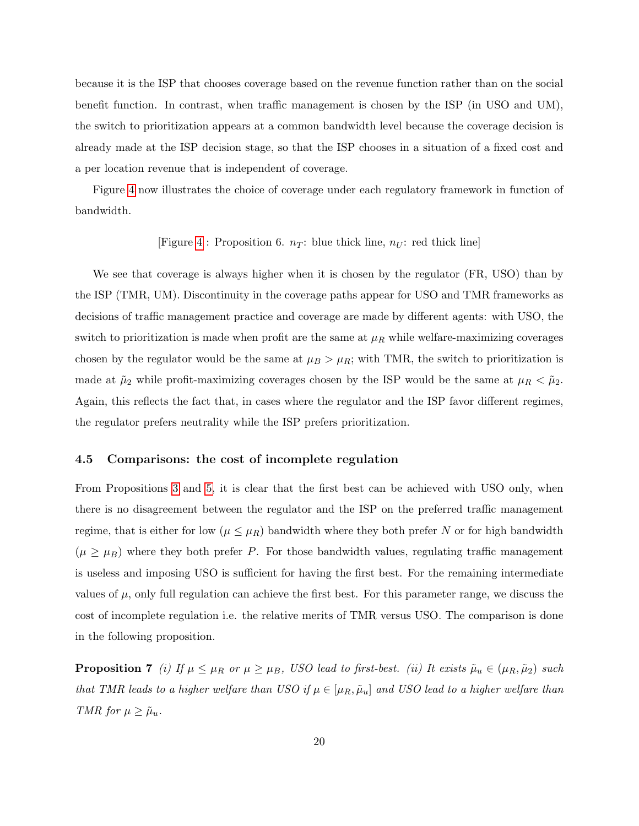because it is the ISP that chooses coverage based on the revenue function rather than on the social benefit function. In contrast, when traffic management is chosen by the ISP (in USO and UM), the switch to prioritization appears at a common bandwidth level because the coverage decision is already made at the ISP decision stage, so that the ISP chooses in a situation of a fixed cost and a per location revenue that is independent of coverage.

Figure 4 now illustrates the choice of coverage under each regulatory framework in function of bandwidth.

#### [Figure 4 : Proposition 6.  $n_T$ : blue thick line,  $n_U$ : red thick line]

We see that coverage is always higher when it is chosen by the regulator (FR, USO) than by the ISP (TMR, UM). Discontinuity in the coverage paths appear for USO and TMR frameworks as decisions of traffic management practice and coverage are made by different agents: with USO, the switch to prioritization is made when profit are the same at  $\mu_R$  while welfare-maximizing coverages chosen by the regulator would be the same at  $\mu_B > \mu_R$ ; with TMR, the switch to prioritization is made at  $\tilde{\mu}_2$  while profit-maximizing coverages chosen by the ISP would be the same at  $\mu_R < \tilde{\mu}_2$ . Again, this reflects the fact that, in cases where the regulator and the ISP favor different regimes, the regulator prefers neutrality while the ISP prefers prioritization.

#### 4.5 Comparisons: the cost of incomplete regulation

From Propositions 3 and 5, it is clear that the first best can be achieved with USO only, when there is no disagreement between the regulator and the ISP on the preferred traffic management regime, that is either for low  $(\mu \leq \mu_R)$  bandwidth where they both prefer N or for high bandwidth  $(\mu \geq \mu_B)$  where they both prefer P. For those bandwidth values, regulating traffic management is useless and imposing USO is sufficient for having the first best. For the remaining intermediate values of  $\mu$ , only full regulation can achieve the first best. For this parameter range, we discuss the cost of incomplete regulation i.e. the relative merits of TMR versus USO. The comparison is done in the following proposition.

**Proposition 7** (i) If  $\mu \leq \mu_R$  or  $\mu \geq \mu_B$ , USO lead to first-best. (ii) It exists  $\tilde{\mu}_u \in (\mu_R, \tilde{\mu}_2)$  such that TMR leads to a higher welfare than USO if  $\mu \in [\mu_R, \tilde{\mu}_u]$  and USO lead to a higher welfare than TMR for  $\mu \geq \tilde{\mu}_u$ .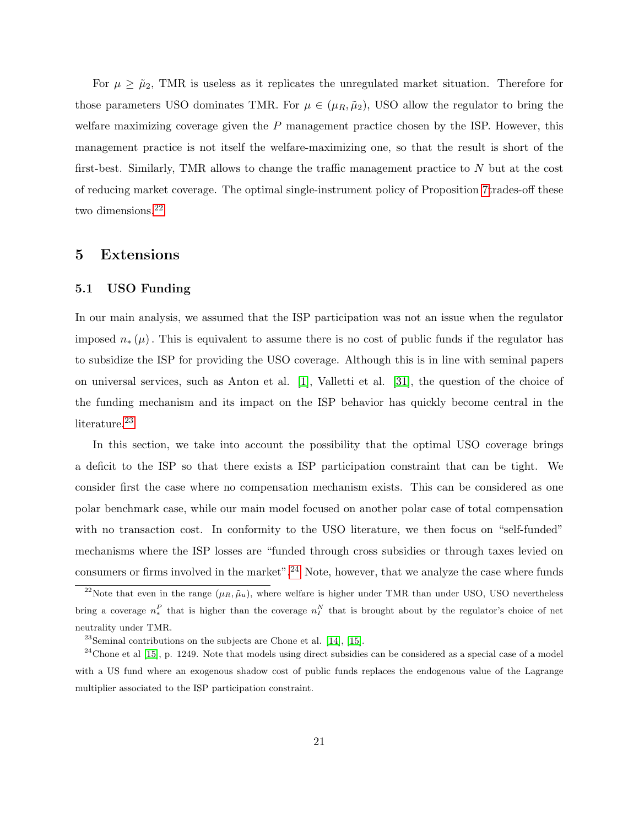For  $\mu \geq \tilde{\mu}_2$ , TMR is useless as it replicates the unregulated market situation. Therefore for those parameters USO dominates TMR. For  $\mu \in (\mu_R, \tilde{\mu}_2)$ , USO allow the regulator to bring the welfare maximizing coverage given the  $P$  management practice chosen by the ISP. However, this management practice is not itself the welfare-maximizing one, so that the result is short of the first-best. Similarly, TMR allows to change the traffic management practice to  $N$  but at the cost of reducing market coverage. The optimal single-instrument policy of Proposition 7trades-off these two dimensions.<sup>22</sup>

### 5 Extensions

#### 5.1 USO Funding

In our main analysis, we assumed that the ISP participation was not an issue when the regulator imposed  $n_*(\mu)$ . This is equivalent to assume there is no cost of public funds if the regulator has to subsidize the ISP for providing the USO coverage. Although this is in line with seminal papers on universal services, such as Anton et al. [1], Valletti et al. [31], the question of the choice of the funding mechanism and its impact on the ISP behavior has quickly become central in the literature.<sup>23</sup>

In this section, we take into account the possibility that the optimal USO coverage brings a deficit to the ISP so that there exists a ISP participation constraint that can be tight. We consider first the case where no compensation mechanism exists. This can be considered as one polar benchmark case, while our main model focused on another polar case of total compensation with no transaction cost. In conformity to the USO literature, we then focus on "self-funded" mechanisms where the ISP losses are "funded through cross subsidies or through taxes levied on consumers or firms involved in the market".<sup>24</sup> Note, however, that we analyze the case where funds

<sup>&</sup>lt;sup>22</sup>Note that even in the range  $(\mu_R, \tilde{\mu}_u)$ , where welfare is higher under TMR than under USO, USO nevertheless bring a coverage  $n_*^P$  that is higher than the coverage  $n_I^N$  that is brought about by the regulator's choice of net neutrality under TMR.

 $23$ Seminal contributions on the subjects are Chone et al. [14], [15].

 $24$ Chone et al [15], p. 1249. Note that models using direct subsidies can be considered as a special case of a model with a US fund where an exogenous shadow cost of public funds replaces the endogenous value of the Lagrange multiplier associated to the ISP participation constraint.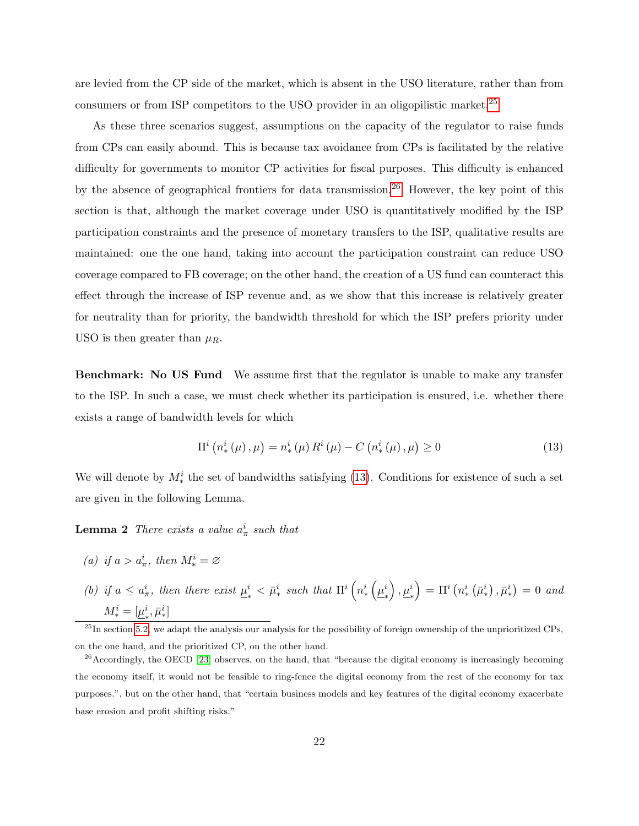are levied from the CP side of the market, which is absent in the USO literature, rather than from consumers or from ISP competitors to the USO provider in an oligopilistic market.<sup>25</sup>

As these three scenarios suggest, assumptions on the capacity of the regulator to raise funds from CPs can easily abound. This is because tax avoidance from CPs is facilitated by the relative difficulty for governments to monitor CP activities for fiscal purposes. This difficulty is enhanced by the absence of geographical frontiers for data transmission.<sup>26</sup> However, the key point of this section is that, although the market coverage under USO is quantitatively modified by the ISP participation constraints and the presence of monetary transfers to the ISP, qualitative results are maintained: one the one hand, taking into account the participation constraint can reduce USO coverage compared to FB coverage; on the other hand, the creation of a US fund can counteract this effect through the increase of ISP revenue and, as we show that this increase is relatively greater for neutrality than for priority, the bandwidth threshold for which the ISP prefers priority under USO is then greater than  $\mu_R$ .

**Benchmark:** No US Fund We assume first that the regulator is unable to make any transfer to the ISP. In such a case, we must check whether its participation is ensured, i.e. whether there exists a range of bandwidth levels for which

$$
\Pi^{i} \left( n_{*}^{i} \left( \mu \right), \mu \right) = n_{*}^{i} \left( \mu \right) R^{i} \left( \mu \right) - C \left( n_{*}^{i} \left( \mu \right), \mu \right) \ge 0 \tag{13}
$$

We will denote by  $M_*^i$  the set of bandwidths satisfying (13). Conditions for existence of such a set are given in the following Lemma.

**Lemma 2** There exists a value  $a^i_\pi$  such that

(a) if 
$$
a > a^i_{\pi}
$$
, then  $M^i_* = \varnothing$ 

(b) if  $a \leq a_{\pi}^i$ , then there exist  $\underline{\mu}_{\ast}^i$  $\frac{i}{\mu^i} < \bar{\mu}^i_*$  such that  $\Pi^i\left(n^i_*\left(\underline{\mu}^i_*\right)\right)$ ∗  $\left.\rule{0pt}{2.2ex}\right), \underline{\mu}^i_*$  $\Big) \, = \, \Pi^i \left( n_*^i \left( \bar \mu_*^i \right) , \bar \mu_*^i \right) \, = \, 0 \ \ and$  $M_*^i = [\underline{\mu}_*^i$  $_{*}^{i}, \bar{\mu}_{*}^{i}]$ 

 $^{25}$ In section 5.2, we adapt the analysis our analysis for the possibility of foreign ownership of the unprioritized CPs, on the one hand, and the prioritized CP, on the other hand.

<sup>26</sup> Accordingly, the OECD [23] observes, on the hand, that "because the digital economy is increasingly becoming the economy itself, it would not be feasible to ring-fence the digital economy from the rest of the economy for tax purposes.", but on the other hand, that "certain business models and key features of the digital economy exacerbate base erosion and profit shifting risks."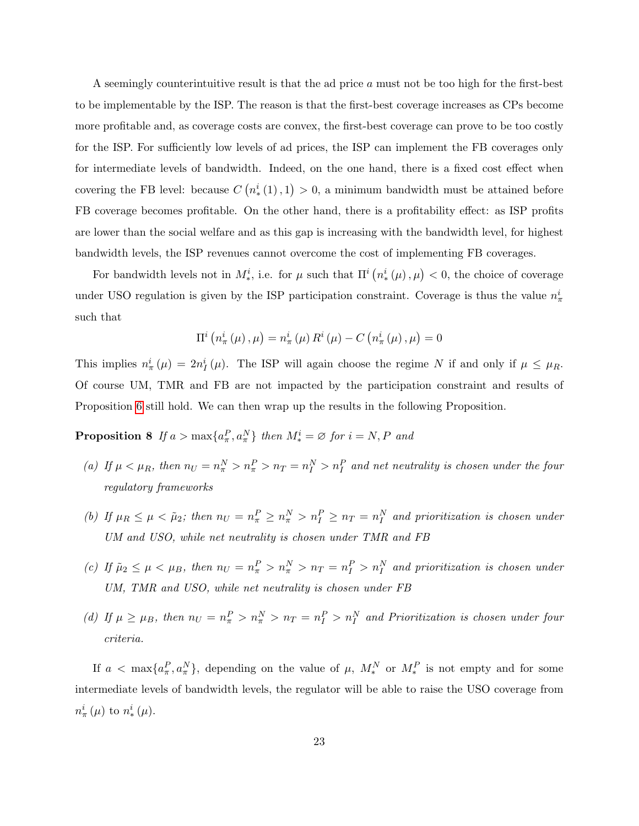A seemingly counterintuitive result is that the ad price a must not be too high for the first-best to be implementable by the ISP. The reason is that the first-best coverage increases as CPs become more profitable and, as coverage costs are convex, the first-best coverage can prove to be too costly for the ISP. For sufficiently low levels of ad prices, the ISP can implement the FB coverages only for intermediate levels of bandwidth. Indeed, on the one hand, there is a fixed cost effect when covering the FB level: because  $C(n^i_*(1),1) > 0$ , a minimum bandwidth must be attained before FB coverage becomes profitable. On the other hand, there is a profitability effect: as ISP profits are lower than the social welfare and as this gap is increasing with the bandwidth level, for highest bandwidth levels, the ISP revenues cannot overcome the cost of implementing FB coverages.

For bandwidth levels not in  $M^i_*$ , i.e. for  $\mu$  such that  $\Pi^i(n^i_*(\mu), \mu) < 0$ , the choice of coverage under USO regulation is given by the ISP participation constraint. Coverage is thus the value  $n_{\pi}^{i}$ such that

$$
\Pi^{i}\left(n_{\pi}^{i}\left(\mu\right),\mu\right)=n_{\pi}^{i}\left(\mu\right)R^{i}\left(\mu\right)-C\left(n_{\pi}^{i}\left(\mu\right),\mu\right)=0
$$

This implies  $n_{\pi}^{i}(\mu) = 2n_{I}^{i}(\mu)$ . The ISP will again choose the regime N if and only if  $\mu \leq \mu_R$ . Of course UM, TMR and FB are not impacted by the participation constraint and results of Proposition 6 still hold. We can then wrap up the results in the following Proposition.

**Proposition 8** If  $a > max\{a_{\pi}^P, a_{\pi}^N\}$  then  $M_*^i = \emptyset$  for  $i = N, P$  and

- (a) If  $\mu < \mu_R$ , then  $n_U = n_{\pi}^N > n_{\pi}^P > n_T = n_I^N > n_I^P$  and net neutrality is chosen under the four regulatory frameworks
- (b) If  $\mu_R \leq \mu < \tilde{\mu}_2$ ; then  $n_U = n_{\pi}^P \geq n_{\pi}^N > n_I^P \geq n_T = n_I^N$  and prioritization is chosen under UM and USO, while net neutrality is chosen under TMR and FB
- (c) If  $\tilde{\mu}_2 \le \mu < \mu_B$ , then  $n_U = n_{\pi}^P > n_{\pi}^N > n_T = n_I^P > n_I^N$  and prioritization is chosen under UM, TMR and USO, while net neutrality is chosen under FB
- (d) If  $\mu \ge \mu_B$ , then  $n_U = n_{\pi}^P > n_{\pi}^N > n_T = n_I^P > n_I^N$  and Prioritization is chosen under four criteria.

If  $a < \max\{a_{\pi}^P, a_{\pi}^N\}$ , depending on the value of  $\mu$ ,  $M_*^N$  or  $M_*^P$  is not empty and for some intermediate levels of bandwidth levels, the regulator will be able to raise the USO coverage from  $n_{\pi}^{i}\left(\mu\right)$  to  $n_{*}^{i}\left(\mu\right)$ .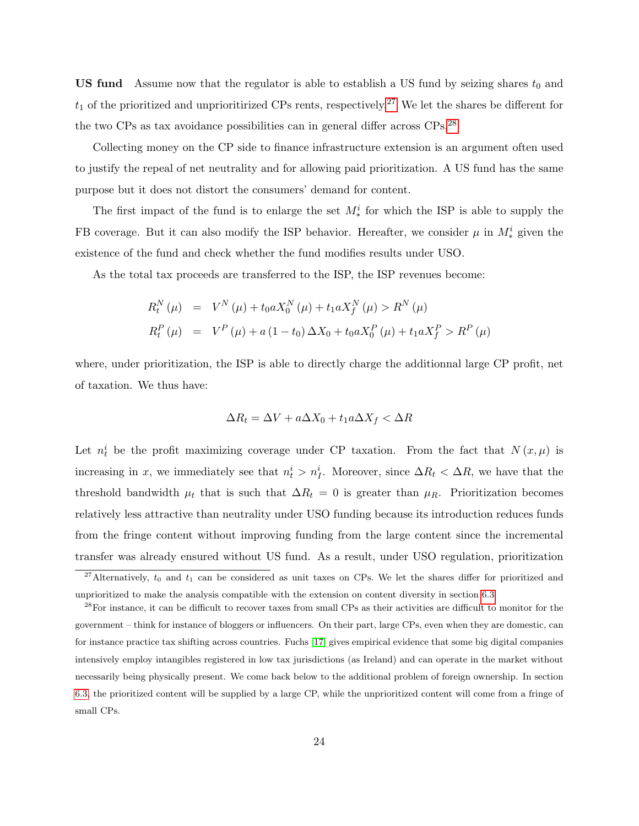**US fund** Assume now that the regulator is able to establish a US fund by seizing shares  $t_0$  and  $t_1$  of the prioritized and unprioritirized CPs rents, respectively.<sup>27</sup> We let the shares be different for the two CPs as tax avoidance possibilities can in general differ across CPs.<sup>28</sup>

Collecting money on the CP side to finance infrastructure extension is an argument often used to justify the repeal of net neutrality and for allowing paid prioritization. A US fund has the same purpose but it does not distort the consumers' demand for content.

The first impact of the fund is to enlarge the set  $M_*^i$  for which the ISP is able to supply the FB coverage. But it can also modify the ISP behavior. Hereafter, we consider  $\mu$  in  $M_*^i$  given the existence of the fund and check whether the fund modifies results under USO.

As the total tax proceeds are transferred to the ISP, the ISP revenues become:

$$
R_t^N(\mu) = V^N(\mu) + t_0 a X_0^N(\mu) + t_1 a X_f^N(\mu) > R^N(\mu)
$$
  

$$
R_t^P(\mu) = V^P(\mu) + a (1 - t_0) \Delta X_0 + t_0 a X_0^P(\mu) + t_1 a X_f^P > R^P(\mu)
$$

where, under prioritization, the ISP is able to directly charge the additionnal large CP profit, net of taxation. We thus have:

$$
\Delta R_t = \Delta V + a\Delta X_0 + t_1 a \Delta X_f < \Delta R
$$

Let  $n_t^i$  be the profit maximizing coverage under CP taxation. From the fact that  $N(x,\mu)$  is increasing in x, we immediately see that  $n_t^i > n_I^i$ . Moreover, since  $\Delta R_t < \Delta R$ , we have that the threshold bandwidth  $\mu_t$  that is such that  $\Delta R_t = 0$  is greater than  $\mu_R$ . Prioritization becomes relatively less attractive than neutrality under USO funding because its introduction reduces funds from the fringe content without improving funding from the large content since the incremental transfer was already ensured without US fund. As a result, under USO regulation, prioritization

<sup>&</sup>lt;sup>27</sup>Alternatively,  $t_0$  and  $t_1$  can be considered as unit taxes on CPs. We let the shares differ for prioritized and unprioritized to make the analysis compatible with the extension on content diversity in section 6.3.

 $^{28}$ For instance, it can be difficult to recover taxes from small CPs as their activities are difficult to monitor for the government – think for instance of bloggers or influencers. On their part, large CPs, even when they are domestic, can for instance practice tax shifting across countries. Fuchs [17] gives empirical evidence that some big digital companies intensively employ intangibles registered in low tax jurisdictions (as Ireland) and can operate in the market without necessarily being physically present. We come back below to the additional problem of foreign ownership. In section 6.3, the prioritized content will be supplied by a large CP, while the unprioritized content will come from a fringe of small CPs.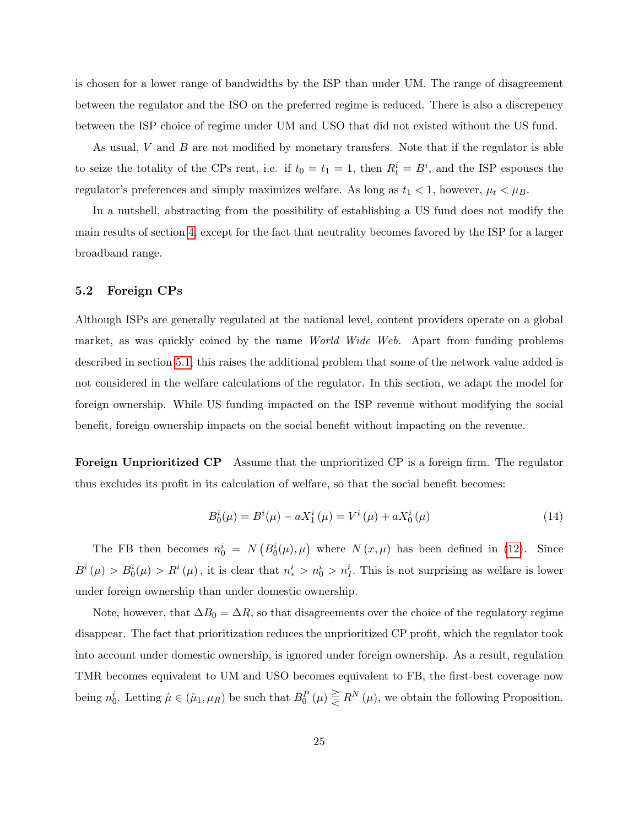is chosen for a lower range of bandwidths by the ISP than under UM. The range of disagreement between the regulator and the ISO on the preferred regime is reduced. There is also a discrepency between the ISP choice of regime under UM and USO that did not existed without the US fund.

As usual, V and B are not modified by monetary transfers. Note that if the regulator is able to seize the totality of the CPs rent, i.e. if  $t_0 = t_1 = 1$ , then  $R_t^i = B^i$ , and the ISP espouses the regulator's preferences and simply maximizes welfare. As long as  $t_1 < 1$ , however,  $\mu_t < \mu_B$ .

In a nutshell, abstracting from the possibility of establishing a US fund does not modify the main results of section 4, except for the fact that neutrality becomes favored by the ISP for a larger broadband range.

#### 5.2 Foreign CPs

Although ISPs are generally regulated at the national level, content providers operate on a global market, as was quickly coined by the name World Wide Web. Apart from funding problems described in section 5.1, this raises the additional problem that some of the network value added is not considered in the welfare calculations of the regulator. In this section, we adapt the model for foreign ownership. While US funding impacted on the ISP revenue without modifying the social benefit, foreign ownership impacts on the social benefit without impacting on the revenue.

Foreign Unprioritized CP Assume that the unprioritized CP is a foreign firm. The regulator thus excludes its profit in its calculation of welfare, so that the social benefit becomes:

$$
B_0^i(\mu) = B^i(\mu) - aX_1^i(\mu) = V^i(\mu) + aX_0^i(\mu)
$$
\n(14)

The FB then becomes  $n_0^i = N(B_0^i(\mu), \mu)$  where  $N(x, \mu)$  has been defined in (12). Since  $B^i(\mu) > B^i_0(\mu) > R^i(\mu)$ , it is clear that  $n_*^i > n_0^i > n_I^i$ . This is not surprising as welfare is lower under foreign ownership than under domestic ownership.

Note, however, that  $\Delta B_0 = \Delta R$ , so that disagreements over the choice of the regulatory regime disappear. The fact that prioritization reduces the unprioritized CP profit, which the regulator took into account under domestic ownership, is ignored under foreign ownership. As a result, regulation TMR becomes equivalent to UM and USO becomes equivalent to FB, the first-best coverage now being  $n_0^i$ . Letting  $\hat{\mu} \in (\tilde{\mu}_1, \mu_R)$  be such that  $B_0^P(\mu) \geq R^N(\mu)$ , we obtain the following Proposition.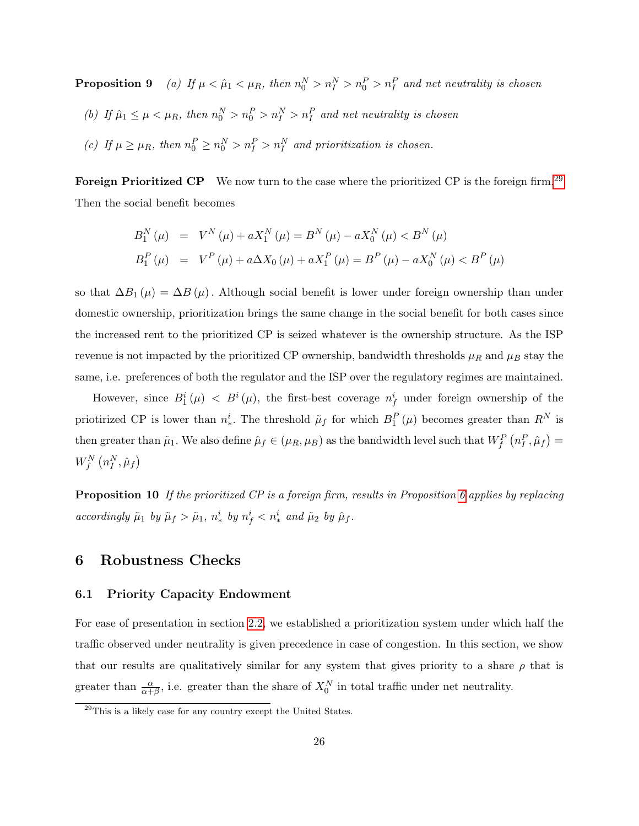**Proposition 9** (a) If  $\mu < \hat{\mu}_1 < \mu_R$ , then  $n_0^N > n_I^N > n_I^P$  and net neutrality is chosen

- (b) If  $\hat{\mu}_1 \leq \mu < \mu_R$ , then  $n_0^N > n_0^P > n_I^N > n_I^P$  and net neutrality is chosen
- (c) If  $\mu \ge \mu_R$ , then  $n_0^P \ge n_0^N > n_I^P > n_I^N$  and prioritization is chosen.

Foreign Prioritized CP We now turn to the case where the prioritized CP is the foreign firm.<sup>29</sup> Then the social benefit becomes

$$
B_1^N(\mu) = V^N(\mu) + aX_1^N(\mu) = B^N(\mu) - aX_0^N(\mu) < B^N(\mu)
$$
\n
$$
B_1^P(\mu) = V^P(\mu) + a\Delta X_0(\mu) + aX_1^P(\mu) = B^P(\mu) - aX_0^N(\mu) < B^P(\mu)
$$

so that  $\Delta B_1(\mu) = \Delta B(\mu)$ . Although social benefit is lower under foreign ownership than under domestic ownership, prioritization brings the same change in the social benefit for both cases since the increased rent to the prioritized CP is seized whatever is the ownership structure. As the ISP revenue is not impacted by the prioritized CP ownership, bandwidth thresholds  $\mu_R$  and  $\mu_B$  stay the same, i.e. preferences of both the regulator and the ISP over the regulatory regimes are maintained.

However, since  $B_1^i(\mu) \leq B^i(\mu)$ , the first-best coverage  $n_f^i$  under foreign ownership of the priotirized CP is lower than  $n^i_*$ . The threshold  $\tilde{\mu}_f$  for which  $B_1^P(\mu)$  becomes greater than  $R^N$  is then greater than  $\tilde{\mu}_1$ . We also define  $\hat{\mu}_f \in (\mu_R, \mu_B)$  as the bandwidth level such that  $W_f^P(n_I^P, \hat{\mu}_f) =$  $W_{f}^{N}\left( n_{I}^{N},\hat{\mu}_{f}\right)$ 

Proposition 10 If the prioritized CP is a foreign firm, results in Proposition 6 applies by replacing accordingly  $\tilde{\mu}_1$  by  $\tilde{\mu}_f > \tilde{\mu}_1$ ,  $n_*^i$  by  $n_f^i < n_*^i$  and  $\tilde{\mu}_2$  by  $\hat{\mu}_f$ .

### 6 Robustness Checks

#### 6.1 Priority Capacity Endowment

For ease of presentation in section 2.2, we established a prioritization system under which half the traffic observed under neutrality is given precedence in case of congestion. In this section, we show that our results are qualitatively similar for any system that gives priority to a share  $\rho$  that is greater than  $\frac{\alpha}{\alpha+\beta}$ , i.e. greater than the share of  $X_0^N$  in total traffic under net neutrality.

 $29$ This is a likely case for any country except the United States.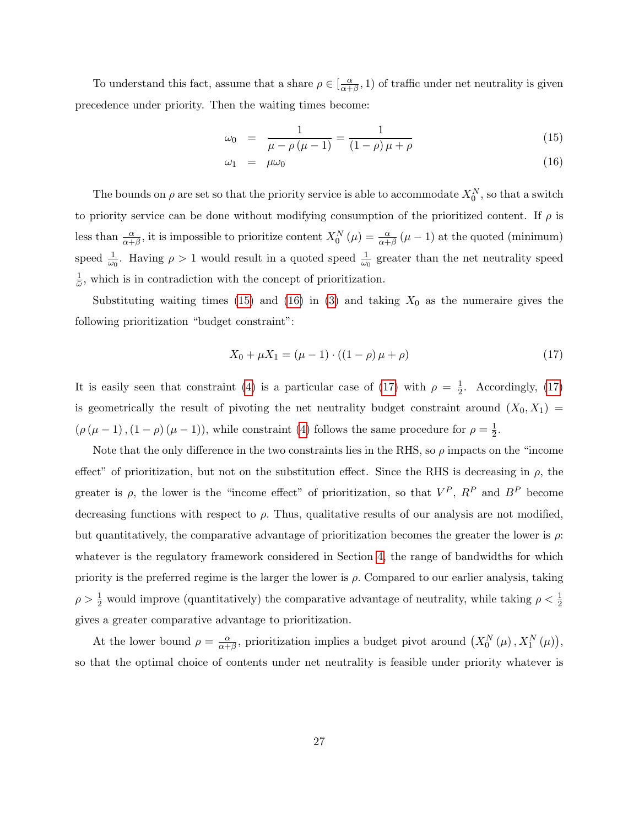To understand this fact, assume that a share  $\rho \in \left[\frac{\alpha}{\alpha+1}\right]$  $(\frac{\alpha}{\alpha+\beta}, 1)$  of traffic under net neutrality is given precedence under priority. Then the waiting times become:

$$
\omega_0 = \frac{1}{\mu - \rho(\mu - 1)} = \frac{1}{(1 - \rho)\mu + \rho} \tag{15}
$$

$$
\omega_1 = \mu \omega_0 \tag{16}
$$

The bounds on  $\rho$  are set so that the priority service is able to accommodate  $X_0^N$ , so that a switch to priority service can be done without modifying consumption of the prioritized content. If  $\rho$  is less than  $\frac{\alpha}{\alpha+\beta}$ , it is impossible to prioritize content  $X_0^N(\mu) = \frac{\alpha}{\alpha+\beta}(\mu-1)$  at the quoted (minimum) speed  $\frac{1}{\omega_0}$ . Having  $\rho > 1$  would result in a quoted speed  $\frac{1}{\omega_0}$  greater than the net neutrality speed 1  $\frac{1}{\omega}$ , which is in contradiction with the concept of prioritization.

Substituting waiting times (15) and (16) in (3) and taking  $X_0$  as the numeraire gives the following prioritization "budget constraint":

$$
X_0 + \mu X_1 = (\mu - 1) \cdot ((1 - \rho)\mu + \rho) \tag{17}
$$

It is easily seen that constraint (4) is a particular case of (17) with  $\rho = \frac{1}{2}$  $\frac{1}{2}$ . Accordingly, (17) is geometrically the result of pivoting the net neutrality budget constraint around  $(X_0, X_1)$  $(\rho(\mu-1), (1-\rho)(\mu-1))$ , while constraint (4) follows the same procedure for  $\rho = \frac{1}{2}$  $\frac{1}{2}$ .

Note that the only difference in the two constraints lies in the RHS, so  $\rho$  impacts on the "income" effect" of prioritization, but not on the substitution effect. Since the RHS is decreasing in  $\rho$ , the greater is  $\rho$ , the lower is the "income effect" of prioritization, so that  $V^P$ ,  $R^P$  and  $B^P$  become decreasing functions with respect to  $\rho$ . Thus, qualitative results of our analysis are not modified, but quantitatively, the comparative advantage of prioritization becomes the greater the lower is  $\rho$ : whatever is the regulatory framework considered in Section 4, the range of bandwidths for which priority is the preferred regime is the larger the lower is  $\rho$ . Compared to our earlier analysis, taking  $\rho > \frac{1}{2}$  would improve (quantitatively) the comparative advantage of neutrality, while taking  $\rho < \frac{1}{2}$ gives a greater comparative advantage to prioritization.

At the lower bound  $\rho = \frac{\alpha}{\alpha + \alpha}$  $\frac{\alpha}{\alpha+\beta}$ , prioritization implies a budget pivot around  $(X_0^N(\mu), X_1^N(\mu)),$ so that the optimal choice of contents under net neutrality is feasible under priority whatever is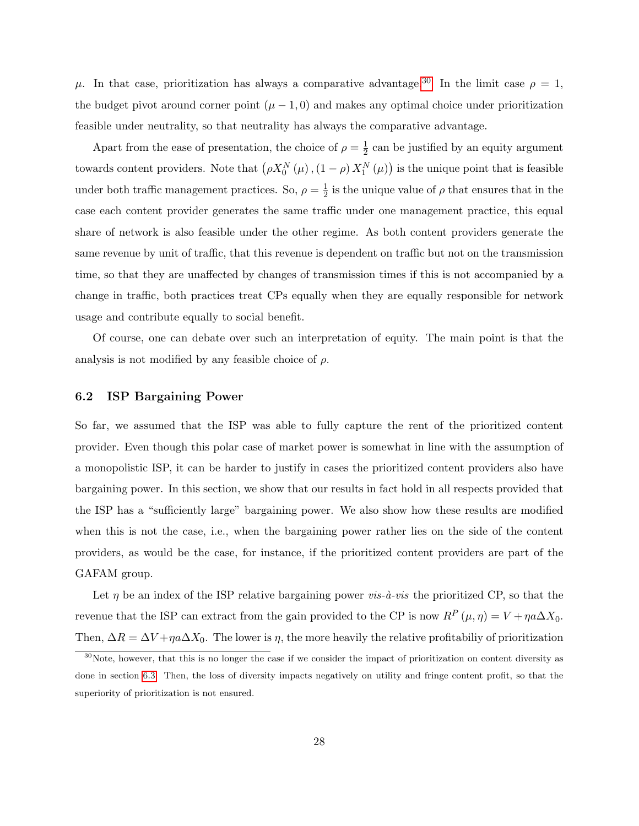μ. In that case, prioritization has always a comparative advantage.<sup>30</sup> In the limit case  $ρ = 1$ , the budget pivot around corner point  $(\mu - 1, 0)$  and makes any optimal choice under prioritization feasible under neutrality, so that neutrality has always the comparative advantage.

Apart from the ease of presentation, the choice of  $\rho = \frac{1}{2}$  $\frac{1}{2}$  can be justified by an equity argument towards content providers. Note that  $(\rho X_0^N(\mu), (1-\rho) X_1^N(\mu))$  is the unique point that is feasible under both traffic management practices. So,  $\rho = \frac{1}{2}$  $\frac{1}{2}$  is the unique value of  $\rho$  that ensures that in the case each content provider generates the same traffic under one management practice, this equal share of network is also feasible under the other regime. As both content providers generate the same revenue by unit of traffic, that this revenue is dependent on traffic but not on the transmission time, so that they are unaffected by changes of transmission times if this is not accompanied by a change in traffic, both practices treat CPs equally when they are equally responsible for network usage and contribute equally to social benefit.

Of course, one can debate over such an interpretation of equity. The main point is that the analysis is not modified by any feasible choice of  $\rho$ .

#### 6.2 ISP Bargaining Power

So far, we assumed that the ISP was able to fully capture the rent of the prioritized content provider. Even though this polar case of market power is somewhat in line with the assumption of a monopolistic ISP, it can be harder to justify in cases the prioritized content providers also have bargaining power. In this section, we show that our results in fact hold in all respects provided that the ISP has a "sufficiently large" bargaining power. We also show how these results are modified when this is not the case, i.e., when the bargaining power rather lies on the side of the content providers, as would be the case, for instance, if the prioritized content providers are part of the GAFAM group.

Let  $\eta$  be an index of the ISP relative bargaining power *vis-à-vis* the prioritized CP, so that the revenue that the ISP can extract from the gain provided to the CP is now  $R^P(\mu, \eta) = V + \eta a \Delta X_0$ . Then,  $\Delta R = \Delta V + \eta a \Delta X_0$ . The lower is  $\eta$ , the more heavily the relative profitabiliy of prioritization

<sup>&</sup>lt;sup>30</sup>Note, however, that this is no longer the case if we consider the impact of prioritization on content diversity as done in section 6.3. Then, the loss of diversity impacts negatively on utility and fringe content profit, so that the superiority of prioritization is not ensured.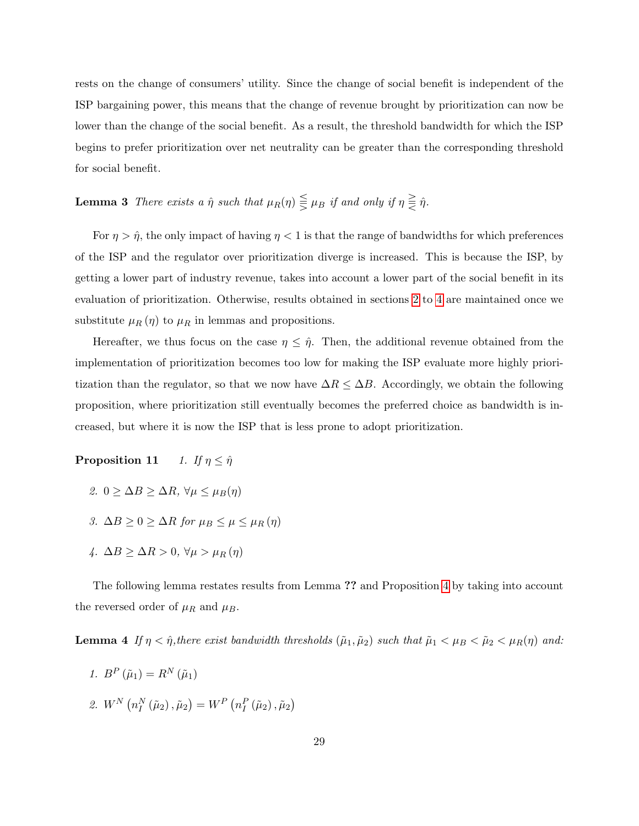rests on the change of consumers' utility. Since the change of social benefit is independent of the ISP bargaining power, this means that the change of revenue brought by prioritization can now be lower than the change of the social benefit. As a result, the threshold bandwidth for which the ISP begins to prefer prioritization over net neutrality can be greater than the corresponding threshold for social benefit.

# **Lemma 3** There exists a  $\hat{\eta}$  such that  $\mu_R(\eta) \leq \mu_B$  if and only if  $\eta \geq \hat{\eta}$ .

For  $\eta > \hat{\eta}$ , the only impact of having  $\eta < 1$  is that the range of bandwidths for which preferences of the ISP and the regulator over prioritization diverge is increased. This is because the ISP, by getting a lower part of industry revenue, takes into account a lower part of the social benefit in its evaluation of prioritization. Otherwise, results obtained in sections 2 to 4 are maintained once we substitute  $\mu_R(\eta)$  to  $\mu_R$  in lemmas and propositions.

Hereafter, we thus focus on the case  $\eta \leq \hat{\eta}$ . Then, the additional revenue obtained from the implementation of prioritization becomes too low for making the ISP evaluate more highly prioritization than the regulator, so that we now have  $\Delta R \leq \Delta B$ . Accordingly, we obtain the following proposition, where prioritization still eventually becomes the preferred choice as bandwidth is increased, but where it is now the ISP that is less prone to adopt prioritization.

**Proposition 11** 1. If  $\eta \leq \hat{\eta}$ 

- 2. 0 >  $\Delta B$  >  $\Delta R$ ,  $\forall \mu \leq \mu_B(\eta)$
- 3.  $\Delta B \ge 0 \ge \Delta R$  for  $\mu_B \le \mu \le \mu_R(\eta)$
- 4.  $\Delta B > \Delta R > 0$ ,  $\forall \mu > \mu_R(\eta)$

The following lemma restates results from Lemma ?? and Proposition 4 by taking into account the reversed order of  $\mu_R$  and  $\mu_B$ .

**Lemma 4** If  $\eta < \hat{\eta}$ , there exist bandwidth thresholds  $(\tilde{\mu}_1, \tilde{\mu}_2)$  such that  $\tilde{\mu}_1 < \mu_B < \tilde{\mu}_2 < \mu_R(\eta)$  and:

1.  $B^P(\tilde{\mu}_1) = R^N(\tilde{\mu}_1)$ 2.  $W^N(n_I^N(\tilde{\mu}_2), \tilde{\mu}_2) = W^P(n_I^P(\tilde{\mu}_2), \tilde{\mu}_2)$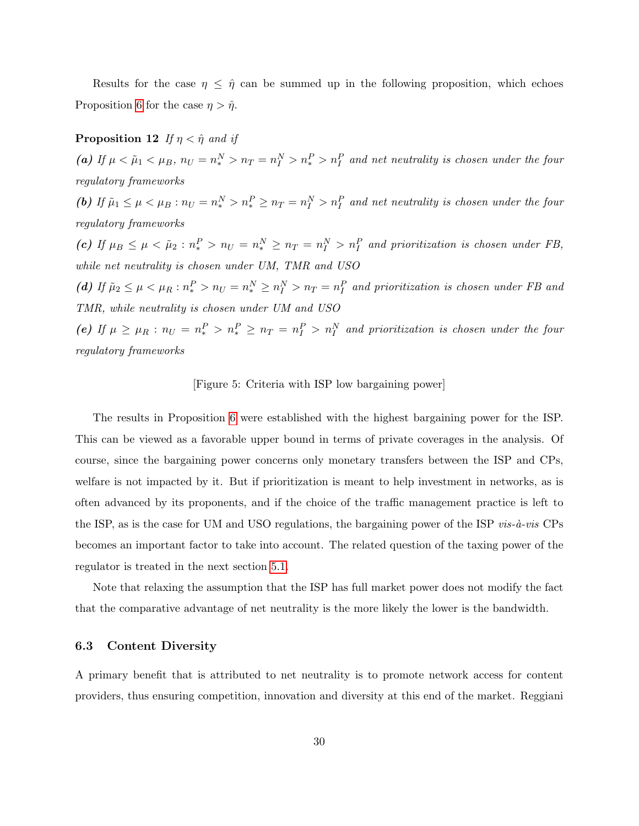Results for the case  $\eta \leq \hat{\eta}$  can be summed up in the following proposition, which echoes Proposition 6 for the case  $\eta > \hat{\eta}$ .

### **Proposition 12** If  $\eta < \hat{\eta}$  and if

(a) If  $\mu < \tilde{\mu}_1 < \mu_B$ ,  $n_U = n_*^N > n_T = n_I^N > n_t^P > n_I^P$  and net neutrality is chosen under the four regulatory frameworks

(b) If  $\tilde{\mu}_1 \le \mu < \mu_B : n_U = n_*^N > n_*^P \ge n_T = n_I^N > n_I^P$  and net neutrality is chosen under the four regulatory frameworks

(c) If  $\mu_B \le \mu < \tilde{\mu}_2 : n_*^P > n_U = n_*^N \ge n_T = n_I^N > n_I^P$  and prioritization is chosen under FB, while net neutrality is chosen under UM, TMR and USO

(d) If  $\tilde{\mu}_2 \le \mu < \mu_R : n_*^P > n_U = n_*^N \ge n_I^N > n_T = n_I^P$  and prioritization is chosen under FB and TMR, while neutrality is chosen under UM and USO

(e) If  $\mu \ge \mu_R : n_U = n_*^P > n_*^P \ge n_T = n_I^P > n_I^N$  and prioritization is chosen under the four regulatory frameworks

#### [Figure 5: Criteria with ISP low bargaining power]

The results in Proposition 6 were established with the highest bargaining power for the ISP. This can be viewed as a favorable upper bound in terms of private coverages in the analysis. Of course, since the bargaining power concerns only monetary transfers between the ISP and CPs, welfare is not impacted by it. But if prioritization is meant to help investment in networks, as is often advanced by its proponents, and if the choice of the traffic management practice is left to the ISP, as is the case for UM and USO regulations, the bargaining power of the ISP vis- $\dot{a}$ -vis CPs becomes an important factor to take into account. The related question of the taxing power of the regulator is treated in the next section 5.1.

Note that relaxing the assumption that the ISP has full market power does not modify the fact that the comparative advantage of net neutrality is the more likely the lower is the bandwidth.

#### 6.3 Content Diversity

A primary benefit that is attributed to net neutrality is to promote network access for content providers, thus ensuring competition, innovation and diversity at this end of the market. Reggiani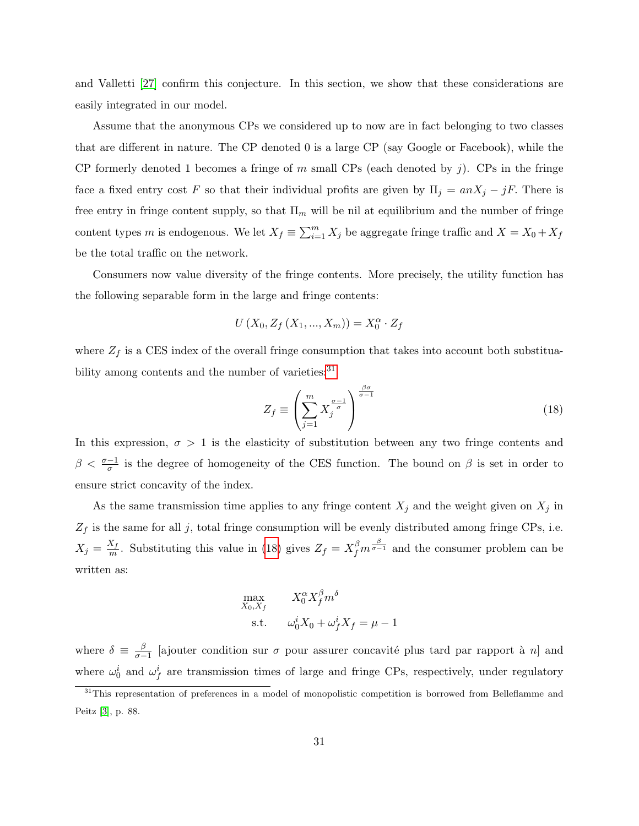and Valletti [27] confirm this conjecture. In this section, we show that these considerations are easily integrated in our model.

Assume that the anonymous CPs we considered up to now are in fact belonging to two classes that are different in nature. The CP denoted 0 is a large CP (say Google or Facebook), while the CP formerly denoted 1 becomes a fringe of m small CPs (each denoted by j). CPs in the fringe face a fixed entry cost F so that their individual profits are given by  $\Pi_j = anX_j - jF$ . There is free entry in fringe content supply, so that  $\Pi_m$  will be nil at equilibrium and the number of fringe content types m is endogenous. We let  $X_f \equiv \sum_{i=1}^m X_i$  be aggregate fringe traffic and  $X = X_0 + X_f$ be the total traffic on the network.

Consumers now value diversity of the fringe contents. More precisely, the utility function has the following separable form in the large and fringe contents:

$$
U(X_0, Z_f(X_1, ..., X_m)) = X_0^{\alpha} \cdot Z_f
$$

where  $Z_f$  is a CES index of the overall fringe consumption that takes into account both substituability among contents and the number of varieties:<sup>31</sup>

$$
Z_f \equiv \left(\sum_{j=1}^m X_j^{\frac{\sigma-1}{\sigma}}\right)^{\frac{\beta \sigma}{\sigma-1}}\tag{18}
$$

In this expression,  $\sigma > 1$  is the elasticity of substitution between any two fringe contents and  $\beta < \frac{\sigma-1}{\sigma}$  is the degree of homogeneity of the CES function. The bound on  $\beta$  is set in order to ensure strict concavity of the index.

As the same transmission time applies to any fringe content  $X_j$  and the weight given on  $X_j$  in  $Z_f$  is the same for all j, total fringe consumption will be evenly distributed among fringe CPs, i.e.  $X_j = \frac{X_f}{m}$  $\frac{X_f}{m}$ . Substituting this value in (18) gives  $Z_f = X_f^{\beta} m^{\frac{\beta}{\sigma-1}}$  and the consumer problem can be written as:

$$
\begin{aligned}\n\max_{X_0, X_f} & X_0^\alpha X_f^\beta m^\delta \\
\text{s.t.} & \omega_0^i X_0 + \omega_f^i X_f = \mu - 1\n\end{aligned}
$$

where  $\delta \equiv \frac{\beta}{\sigma}$  $\frac{\beta}{\sigma-1}$  [ajouter condition sur  $\sigma$  pour assurer concavité plus tard par rapport à n] and where  $\omega_0^i$  and  $\omega_f^i$  are transmission times of large and fringe CPs, respectively, under regulatory

<sup>&</sup>lt;sup>31</sup>This representation of preferences in a model of monopolistic competition is borrowed from Belleflamme and Peitz [3], p. 88.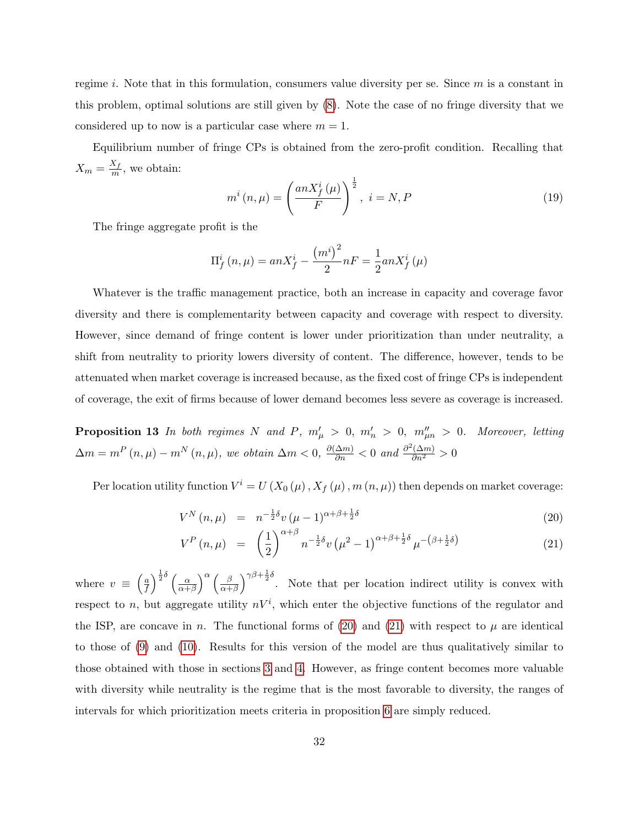regime i. Note that in this formulation, consumers value diversity per se. Since  $m$  is a constant in this problem, optimal solutions are still given by (8). Note the case of no fringe diversity that we considered up to now is a particular case where  $m = 1$ .

Equilibrium number of fringe CPs is obtained from the zero-profit condition. Recalling that  $X_m = \frac{X_f}{m}$  $\frac{\Delta_f}{m}$ , we obtain:

$$
m^{i}(n,\mu) = \left(\frac{anX_f^{i}(\mu)}{F}\right)^{\frac{1}{2}}, i = N, P
$$
\n(19)

The fringe aggregate profit is the

$$
\Pi_{f}^{i}(n,\mu) = anX_{f}^{i} - \frac{(m^{i})^{2}}{2}nF = \frac{1}{2}anX_{f}^{i}(\mu)
$$

Whatever is the traffic management practice, both an increase in capacity and coverage favor diversity and there is complementarity between capacity and coverage with respect to diversity. However, since demand of fringe content is lower under prioritization than under neutrality, a shift from neutrality to priority lowers diversity of content. The difference, however, tends to be attenuated when market coverage is increased because, as the fixed cost of fringe CPs is independent of coverage, the exit of firms because of lower demand becomes less severe as coverage is increased.

**Proposition 13** In both regimes N and P,  $m'_{\mu} > 0$ ,  $m'_{n} > 0$ ,  $m''_{\mu n} > 0$ . Moreover, letting  $\Delta m = m^P(n,\mu) - m^N(n,\mu)$ , we obtain  $\Delta m < 0$ ,  $\frac{\partial(\Delta m)}{\partial n} < 0$  and  $\frac{\partial^2(\Delta m)}{\partial n^2} > 0$ 

Per location utility function  $V^i = U(X_0(\mu), X_f(\mu), m(n,\mu))$  then depends on market coverage:

$$
V^N(n,\mu) = n^{-\frac{1}{2}\delta}v(\mu-1)^{\alpha+\beta+\frac{1}{2}\delta}
$$
\n(20)

$$
V^{P}(n,\mu) = \left(\frac{1}{2}\right)^{\alpha+\beta} n^{-\frac{1}{2}\delta} v \left(\mu^{2}-1\right)^{\alpha+\beta+\frac{1}{2}\delta} \mu^{-\left(\beta+\frac{1}{2}\delta\right)} \tag{21}
$$

where  $v \equiv \left(\frac{a}{f}\right)$  $\frac{a}{f}$ ) $\frac{1}{2}\delta$   $\left(\frac{\alpha}{\alpha+1}\right)$  $\frac{\alpha}{\alpha+\beta}$ <sup>\alleqraphy}</sup> $\left(\frac{\beta}{\alpha+\beta}\right)$  $\left(\frac{\beta}{\alpha+\beta}\right)^{\gamma\beta+\frac{1}{2}\delta}$ . Note that per location indirect utility is convex with respect to n, but aggregate utility  $nV^i$ , which enter the objective functions of the regulator and the ISP, are concave in n. The functional forms of (20) and (21) with respect to  $\mu$  are identical to those of (9) and (10). Results for this version of the model are thus qualitatively similar to those obtained with those in sections 3 and 4. However, as fringe content becomes more valuable with diversity while neutrality is the regime that is the most favorable to diversity, the ranges of intervals for which prioritization meets criteria in proposition 6 are simply reduced.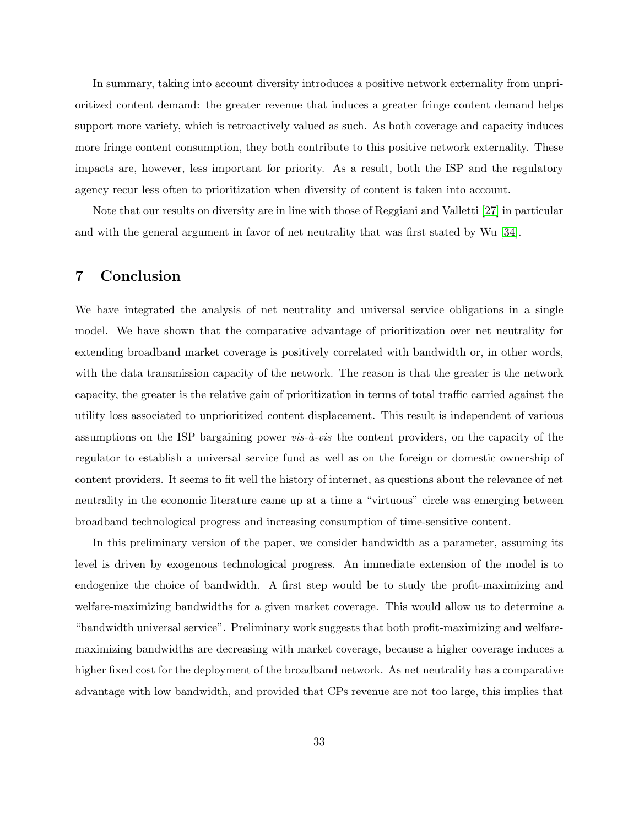In summary, taking into account diversity introduces a positive network externality from unprioritized content demand: the greater revenue that induces a greater fringe content demand helps support more variety, which is retroactively valued as such. As both coverage and capacity induces more fringe content consumption, they both contribute to this positive network externality. These impacts are, however, less important for priority. As a result, both the ISP and the regulatory agency recur less often to prioritization when diversity of content is taken into account.

Note that our results on diversity are in line with those of Reggiani and Valletti [27] in particular and with the general argument in favor of net neutrality that was first stated by Wu [34].

## 7 Conclusion

We have integrated the analysis of net neutrality and universal service obligations in a single model. We have shown that the comparative advantage of prioritization over net neutrality for extending broadband market coverage is positively correlated with bandwidth or, in other words, with the data transmission capacity of the network. The reason is that the greater is the network capacity, the greater is the relative gain of prioritization in terms of total traffic carried against the utility loss associated to unprioritized content displacement. This result is independent of various assumptions on the ISP bargaining power  $vis-\hat{a}-vis$  the content providers, on the capacity of the regulator to establish a universal service fund as well as on the foreign or domestic ownership of content providers. It seems to fit well the history of internet, as questions about the relevance of net neutrality in the economic literature came up at a time a "virtuous" circle was emerging between broadband technological progress and increasing consumption of time-sensitive content.

In this preliminary version of the paper, we consider bandwidth as a parameter, assuming its level is driven by exogenous technological progress. An immediate extension of the model is to endogenize the choice of bandwidth. A first step would be to study the profit-maximizing and welfare-maximizing bandwidths for a given market coverage. This would allow us to determine a "bandwidth universal service". Preliminary work suggests that both profit-maximizing and welfaremaximizing bandwidths are decreasing with market coverage, because a higher coverage induces a higher fixed cost for the deployment of the broadband network. As net neutrality has a comparative advantage with low bandwidth, and provided that CPs revenue are not too large, this implies that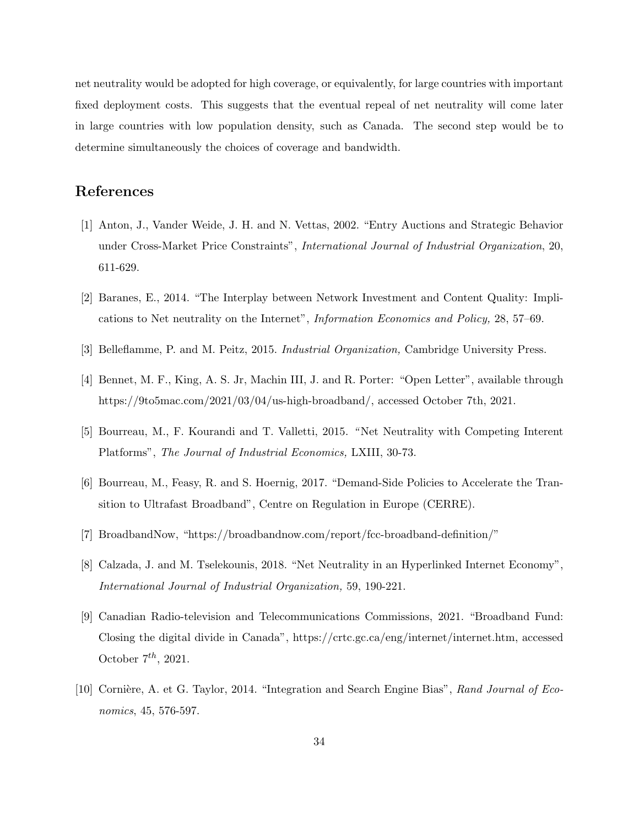net neutrality would be adopted for high coverage, or equivalently, for large countries with important fixed deployment costs. This suggests that the eventual repeal of net neutrality will come later in large countries with low population density, such as Canada. The second step would be to determine simultaneously the choices of coverage and bandwidth.

## References

- [1] Anton, J., Vander Weide, J. H. and N. Vettas, 2002. "Entry Auctions and Strategic Behavior under Cross-Market Price Constraints", International Journal of Industrial Organization, 20, 611-629.
- [2] Baranes, E., 2014. "The Interplay between Network Investment and Content Quality: Implications to Net neutrality on the Internet", Information Economics and Policy, 28, 57–69.
- [3] Belleflamme, P. and M. Peitz, 2015. Industrial Organization, Cambridge University Press.
- [4] Bennet, M. F., King, A. S. Jr, Machin III, J. and R. Porter: "Open Letter", available through https://9to5mac.com/2021/03/04/us-high-broadband/, accessed October 7th, 2021.
- [5] Bourreau, M., F. Kourandi and T. Valletti, 2015. " Net Neutrality with Competing Interent Platforms", The Journal of Industrial Economics, LXIII, 30-73.
- [6] Bourreau, M., Feasy, R. and S. Hoernig, 2017. "Demand-Side Policies to Accelerate the Transition to Ultrafast Broadband", Centre on Regulation in Europe (CERRE).
- [7] BroadbandNow, "https://broadbandnow.com/report/fcc-broadband-definition/"
- [8] Calzada, J. and M. Tselekounis, 2018. "Net Neutrality in an Hyperlinked Internet Economy", International Journal of Industrial Organization, 59, 190-221.
- [9] Canadian Radio-television and Telecommunications Commissions, 2021. "Broadband Fund: Closing the digital divide in Canada", https://crtc.gc.ca/eng/internet/internet.htm, accessed October  $7^{th}$ , 2021.
- [10] Cornière, A. et G. Taylor, 2014. "Integration and Search Engine Bias", Rand Journal of Economics, 45, 576-597.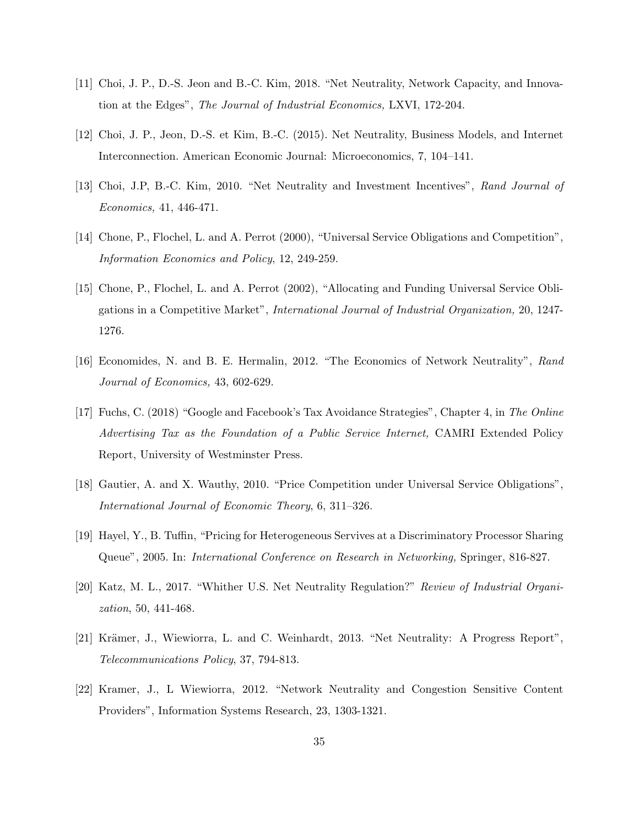- [11] Choi, J. P., D.-S. Jeon and B.-C. Kim, 2018. "Net Neutrality, Network Capacity, and Innovation at the Edges", The Journal of Industrial Economics, LXVI, 172-204.
- [12] Choi, J. P., Jeon, D.-S. et Kim, B.-C. (2015). Net Neutrality, Business Models, and Internet Interconnection. American Economic Journal: Microeconomics, 7, 104–141.
- [13] Choi, J.P, B.-C. Kim, 2010. "Net Neutrality and Investment Incentives", Rand Journal of Economics, 41, 446-471.
- [14] Chone, P., Flochel, L. and A. Perrot (2000), "Universal Service Obligations and Competition", Information Economics and Policy, 12, 249-259.
- [15] Chone, P., Flochel, L. and A. Perrot (2002), "Allocating and Funding Universal Service Obligations in a Competitive Market", International Journal of Industrial Organization, 20, 1247- 1276.
- [16] Economides, N. and B. E. Hermalin, 2012. "The Economics of Network Neutrality", Rand Journal of Economics, 43, 602-629.
- [17] Fuchs, C. (2018) "Google and Facebook's Tax Avoidance Strategies", Chapter 4, in The Online Advertising Tax as the Foundation of a Public Service Internet, CAMRI Extended Policy Report, University of Westminster Press.
- [18] Gautier, A. and X. Wauthy, 2010. "Price Competition under Universal Service Obligations", International Journal of Economic Theory, 6, 311–326.
- [19] Hayel, Y., B. Tuffin, "Pricing for Heterogeneous Servives at a Discriminatory Processor Sharing Queue", 2005. In: International Conference on Research in Networking, Springer, 816-827.
- [20] Katz, M. L., 2017. "Whither U.S. Net Neutrality Regulation?" Review of Industrial Organization, 50, 441-468.
- [21] Krämer, J., Wiewiorra, L. and C. Weinhardt, 2013. "Net Neutrality: A Progress Report", Telecommunications Policy, 37, 794-813.
- [22] Kramer, J., L Wiewiorra, 2012. "Network Neutrality and Congestion Sensitive Content Providers", Information Systems Research, 23, 1303-1321.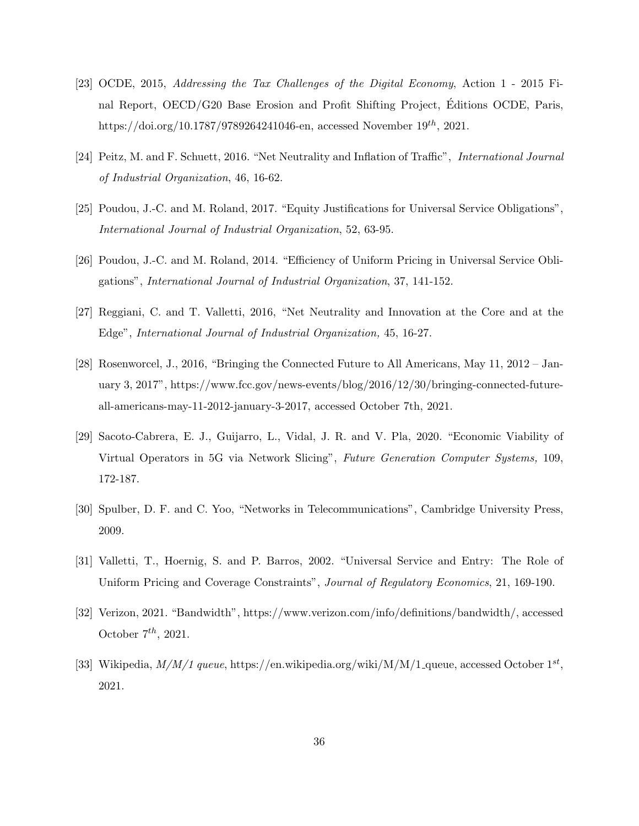- [23] OCDE, 2015, Addressing the Tax Challenges of the Digital Economy, Action 1 2015 Final Report, OECD/G20 Base Erosion and Profit Shifting Project, Editions OCDE, Paris, ´ https://doi.org/10.1787/9789264241046-en, accessed November  $19^{th}$ , 2021.
- [24] Peitz, M. and F. Schuett, 2016. "Net Neutrality and Inflation of Traffic", International Journal of Industrial Organization, 46, 16-62.
- [25] Poudou, J.-C. and M. Roland, 2017. "Equity Justifications for Universal Service Obligations", International Journal of Industrial Organization, 52, 63-95.
- [26] Poudou, J.-C. and M. Roland, 2014. "Efficiency of Uniform Pricing in Universal Service Obligations", International Journal of Industrial Organization, 37, 141-152.
- [27] Reggiani, C. and T. Valletti, 2016, "Net Neutrality and Innovation at the Core and at the Edge", International Journal of Industrial Organization, 45, 16-27.
- [28] Rosenworcel, J., 2016, "Bringing the Connected Future to All Americans, May 11, 2012 January 3, 2017", https://www.fcc.gov/news-events/blog/2016/12/30/bringing-connected-futureall-americans-may-11-2012-january-3-2017, accessed October 7th, 2021.
- [29] Sacoto-Cabrera, E. J., Guijarro, L., Vidal, J. R. and V. Pla, 2020. "Economic Viability of Virtual Operators in 5G via Network Slicing", Future Generation Computer Systems, 109, 172-187.
- [30] Spulber, D. F. and C. Yoo, "Networks in Telecommunications", Cambridge University Press, 2009.
- [31] Valletti, T., Hoernig, S. and P. Barros, 2002. "Universal Service and Entry: The Role of Uniform Pricing and Coverage Constraints", Journal of Regulatory Economics, 21, 169-190.
- [32] Verizon, 2021. "Bandwidth", https://www.verizon.com/info/definitions/bandwidth/, accessed October  $7^{th}$ , 2021.
- [33] Wikipedia,  $M/M/1$  queue, https://en.wikipedia.org/wiki/M/M/1<sub>-queue, accessed October 1st</sub>, 2021.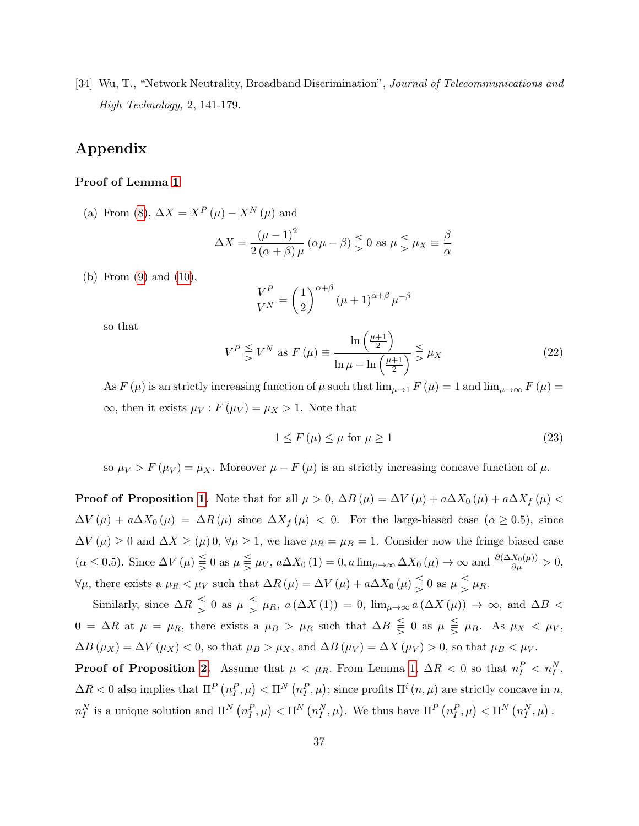[34] Wu, T., "Network Neutrality, Broadband Discrimination", *Journal of Telecommunications and* High Technology, 2, 141-179.

## Appendix

#### Proof of Lemma 1

(a) From (8),  $\Delta X = X^P(\mu) - X^N(\mu)$  and

$$
\Delta X = \frac{(\mu - 1)^2}{2(\alpha + \beta)\mu} (\alpha \mu - \beta) \leq 0 \text{ as } \mu \leq \mu_X \equiv \frac{\beta}{\alpha}
$$

(b) From (9) and (10),

$$
\frac{V^P}{V^N} = \left(\frac{1}{2}\right)^{\alpha+\beta} (\mu+1)^{\alpha+\beta} \mu^{-\beta}
$$

so that

$$
V^{P} \leq V^{N} \text{ as } F(\mu) \equiv \frac{\ln\left(\frac{\mu+1}{2}\right)}{\ln\mu - \ln\left(\frac{\mu+1}{2}\right)} \leq \mu_{X}
$$
\n(22)

As  $F(\mu)$  is an strictly increasing function of  $\mu$  such that  $\lim_{\mu \to 1} F(\mu) = 1$  and  $\lim_{\mu \to \infty} F(\mu) =$  $\infty$ , then it exists  $\mu_V$ :  $F(\mu_V) = \mu_X > 1$ . Note that

$$
1 \le F(\mu) \le \mu \text{ for } \mu \ge 1 \tag{23}
$$

so  $\mu_V > F(\mu_V) = \mu_X$ . Moreover  $\mu - F(\mu)$  is an strictly increasing concave function of  $\mu$ .

**Proof of Proposition 1.** Note that for all  $\mu > 0$ ,  $\Delta B(\mu) = \Delta V(\mu) + a\Delta X_0(\mu) + a\Delta X_f(\mu) <$  $\Delta V(\mu) + a\Delta X_0(\mu) = \Delta R(\mu)$  since  $\Delta X_f(\mu) < 0$ . For the large-biased case  $(\alpha \geq 0.5)$ , since  $\Delta V(\mu) \geq 0$  and  $\Delta X \geq (\mu) \ge 0$ ,  $\forall \mu \geq 1$ , we have  $\mu_R = \mu_B = 1$ . Consider now the fringe biased case  $(\alpha \le 0.5)$ . Since  $\Delta V(\mu) \leq 0$  as  $\mu \leq \mu_V$ ,  $a\Delta X_0(1) = 0$ ,  $a \lim_{\mu \to \infty} \Delta X_0(\mu) \to \infty$  and  $\frac{\partial(\Delta X_0(\mu))}{\partial \mu} > 0$ ,  $\forall \mu$ , there exists a  $\mu_R < \mu_V$  such that  $\Delta R(\mu) = \Delta V(\mu) + a\Delta X_0(\mu) \leq 0$  as  $\mu \leq \mu_R$ .

Similarly, since  $\Delta R \leq 0$  as  $\mu \leq \mu_R$ ,  $a(\Delta X(1)) = 0$ ,  $\lim_{\mu \to \infty} a(\Delta X(\mu)) \to \infty$ , and  $\Delta B$  $0 = \Delta R$  at  $\mu = \mu_R$ , there exists a  $\mu_B > \mu_R$  such that  $\Delta B \leq 0$  as  $\mu \leq \mu_B$ . As  $\mu_X < \mu_V$ ,  $\Delta B(\mu_X) = \Delta V(\mu_X) < 0$ , so that  $\mu_B > \mu_X$ , and  $\Delta B(\mu_V) = \Delta X(\mu_V) > 0$ , so that  $\mu_B < \mu_V$ .

**Proof of Proposition 2.** Assume that  $\mu < \mu_R$ . From Lemma 1,  $\Delta R < 0$  so that  $n_I^P < n_I^N$ .  $\Delta R < 0$  also implies that  $\Pi^P\left(n^P_I,\mu\right) < \Pi^N\left(n^P_I,\mu\right)$ ; since profits  $\Pi^i(n,\mu)$  are strictly concave in n,  $n_I^N$  is a unique solution and  $\Pi^N(n_I^P, \mu) < \Pi^N(n_I^N, \mu)$ . We thus have  $\Pi^P(n_I^P, \mu) < \Pi^N(n_I^N, \mu)$ .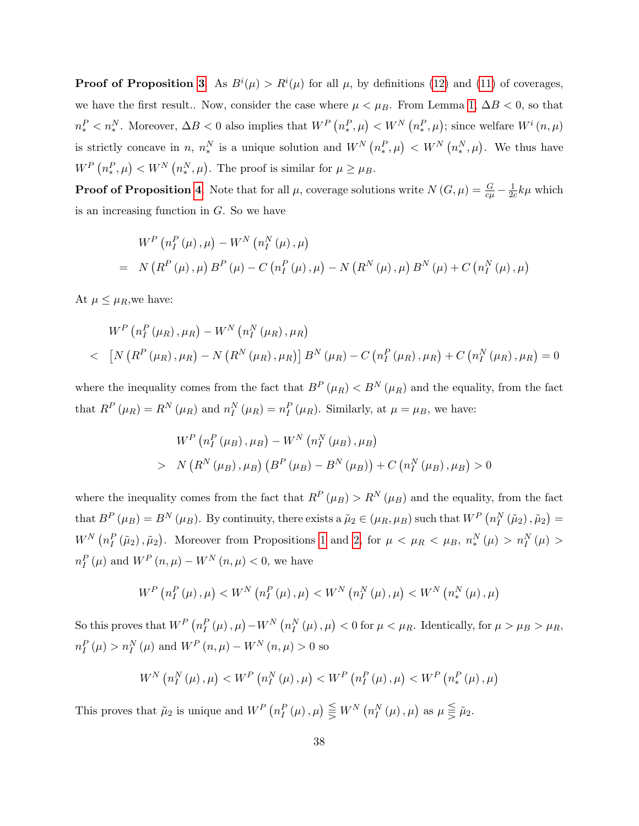**Proof of Proposition 3.** As  $B^{i}(\mu) > R^{i}(\mu)$  for all  $\mu$ , by definitions (12) and (11) of coverages, we have the first result.. Now, consider the case where  $\mu < \mu_B$ . From Lemma 1,  $\Delta B < 0$ , so that  $n_*^P < n_*^N$ . Moreover,  $\Delta B < 0$  also implies that  $W^P(n_*^P, \mu) < W^N(n_*^P, \mu)$ ; since welfare  $W^i(n, \mu)$ is strictly concave in n,  $n_*^N$  is a unique solution and  $W^N(n_*^P, \mu) < W^N(n_*^N, \mu)$ . We thus have  $W^P(n^P_*,\mu) < W^N(n^N_*,\mu)$ . The proof is similar for  $\mu \ge \mu_B$ .

**Proof of Proposition 4.** Note that for all  $\mu$ , coverage solutions write  $N(G, \mu) = \frac{G}{c\mu} - \frac{1}{2c}$  $\frac{1}{2c}k\mu$  which is an increasing function in  $G$ . So we have

$$
W^{P} (n_{I}^{P} (\mu), \mu) - W^{N} (n_{I}^{N} (\mu), \mu)
$$
  
= N (R^{P} (\mu), \mu) B^{P} (\mu) - C (n\_{I}^{P} (\mu), \mu) - N (R^{N} (\mu), \mu) B^{N} (\mu) + C (n\_{I}^{N} (\mu), \mu)

At  $\mu \leq \mu_R$ , we have:

$$
W^{P} (n_{I}^{P} (\mu_{R}), \mu_{R}) - W^{N} (n_{I}^{N} (\mu_{R}), \mu_{R})
$$
  

$$
\left[ N (R^{P} (\mu_{R}), \mu_{R}) - N (R^{N} (\mu_{R}), \mu_{R}) \right] B^{N} (\mu_{R}) - C (n_{I}^{P} (\mu_{R}), \mu_{R}) + C (n_{I}^{N} (\mu_{R}), \mu_{R}) = 0
$$

where the inequality comes from the fact that  $B^P(\mu_R) < B^N(\mu_R)$  and the equality, from the fact that  $R^P(\mu_R) = R^N(\mu_R)$  and  $n_I^N(\mu_R) = n_I^P(\mu_R)$ . Similarly, at  $\mu = \mu_B$ , we have:

$$
W^{P} (n_{I}^{P} (\mu_{B}), \mu_{B}) - W^{N} (n_{I}^{N} (\mu_{B}), \mu_{B})
$$
  
> N (R<sup>N</sup> (\mu\_{B}), \mu\_{B}) (B<sup>P</sup> (\mu\_{B}) - B<sup>N</sup> (\mu\_{B})) + C (n\_{I}^{N} (\mu\_{B}), \mu\_{B}) > 0

where the inequality comes from the fact that  $R^P(\mu_B) > R^N(\mu_B)$  and the equality, from the fact that  $B^P(\mu_B) = B^N(\mu_B)$ . By continuity, there exists a  $\tilde{\mu}_2 \in (\mu_R, \mu_B)$  such that  $W^P(n_I^N(\tilde{\mu}_2), \tilde{\mu}_2) =$  $W^N(n_I^P(\tilde{\mu}_2), \tilde{\mu}_2)$ . Moreover from Propositions 1 and 2, for  $\mu < \mu_R < \mu_B$ ,  $n_*^N(\mu) > n_I^N(\mu) >$  $n_{I}^{P}(\mu)$  and  $W^{P}(n,\mu) - W^{N}(n,\mu) < 0$ , we have

$$
W^{P}\left(n_{I}^{P}\left(\mu\right),\mu\right) < W^{N}\left(n_{I}^{P}\left(\mu\right),\mu\right) < W^{N}\left(n_{I}^{N}\left(\mu\right),\mu\right) < W^{N}\left(n_{*}^{N}\left(\mu\right),\mu\right)
$$

So this proves that  $W^P(n_I^P(\mu), \mu) - W^N(n_I^N(\mu), \mu) < 0$  for  $\mu < \mu_R$ . Identically, for  $\mu > \mu_B > \mu_R$ ,  $n_{I}^{P}(\mu) > n_{I}^{N}(\mu)$  and  $W^{P}(n, \mu) - W^{N}(n, \mu) > 0$  so

$$
W^{N}\left(n_{I}^{N}\left(\mu\right),\mu\right) < W^{P}\left(n_{I}^{N}\left(\mu\right),\mu\right) < W^{P}\left(n_{I}^{P}\left(\mu\right),\mu\right) < W^{P}\left(n_{*}^{P}\left(\mu\right),\mu\right)
$$

This proves that  $\tilde{\mu}_2$  is unique and  $W^P(n_I^P(\mu), \mu) \leq W^N(n_I^N(\mu), \mu)$  as  $\mu \leq \tilde{\mu}_2$ .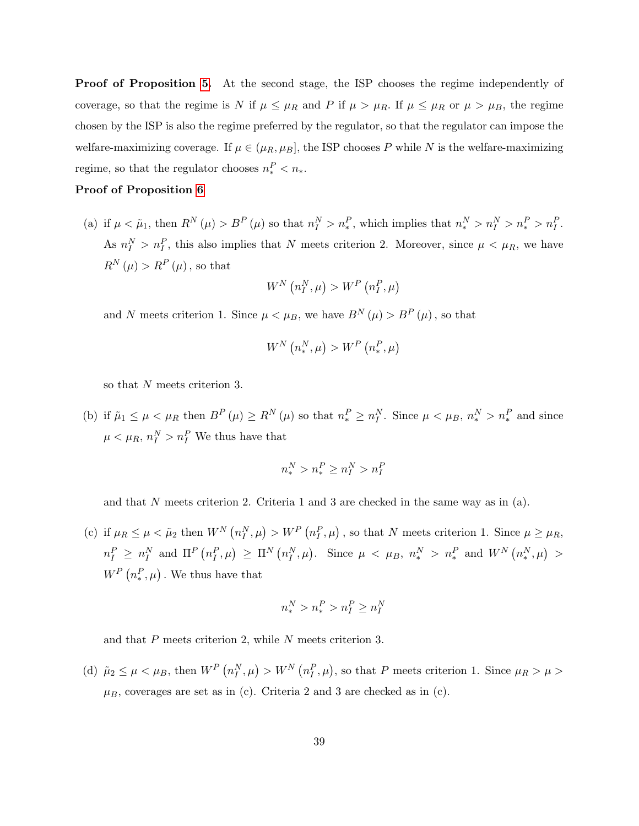**Proof of Proposition 5.** At the second stage, the ISP chooses the regime independently of coverage, so that the regime is N if  $\mu \leq \mu_R$  and P if  $\mu > \mu_R$ . If  $\mu \leq \mu_R$  or  $\mu > \mu_B$ , the regime chosen by the ISP is also the regime preferred by the regulator, so that the regulator can impose the welfare-maximizing coverage. If  $\mu \in (\mu_R, \mu_B]$ , the ISP chooses P while N is the welfare-maximizing regime, so that the regulator chooses  $n_*^P < n_*$ .

#### Proof of Proposition 6

(a) if  $\mu < \tilde{\mu}_1$ , then  $R^N(\mu) > B^P(\mu)$  so that  $n_I^N > n_*^P$ , which implies that  $n_*^N > n_I^N > n_*^P > n_I^P$ . As  $n_I^N > n_I^P$ , this also implies that N meets criterion 2. Moreover, since  $\mu < \mu_R$ , we have  $R^{N}(\mu) > R^{P}(\mu)$ , so that

$$
W^N\left(n_I^N,\mu\right) > W^P\left(n_I^P,\mu\right)
$$

and N meets criterion 1. Since  $\mu < \mu_B$ , we have  $B^N(\mu) > B^P(\mu)$ , so that

$$
W^N\left(n_*^N,\mu\right) > W^P\left(n_*^P,\mu\right)
$$

so that N meets criterion 3.

(b) if  $\tilde{\mu}_1 \leq \mu < \mu_R$  then  $B^P(\mu) \geq R^N(\mu)$  so that  $n_*^P \geq n_I^N$ . Since  $\mu < \mu_B$ ,  $n_*^N > n_*^P$  and since  $\mu < \mu_R$ ,  $n_I^N > n_I^P$  We thus have that

$$
n_*^N > n_*^P \ge n_I^N > n_I^P
$$

and that N meets criterion 2. Criteria 1 and 3 are checked in the same way as in  $(a)$ .

(c) if  $\mu_R \leq \mu < \tilde{\mu}_2$  then  $W^N(n_I^N, \mu) > W^P(n_I^P, \mu)$ , so that N meets criterion 1. Since  $\mu \geq \mu_R$ ,  $n_I^P \ge n_I^N$  and  $\Pi^P(n_I^P, \mu) \ge \Pi^N(n_I^N, \mu)$ . Since  $\mu \langle \mu_B, n_{*}^N > n_{*}^P$  and  $W^N(n_{*}^N, \mu) >$  $W^P(n^P_*,\mu)$ . We thus have that

$$
n_*^N > n_*^P > n_I^P \ge n_I^N
$$

and that P meets criterion 2, while N meets criterion 3.

(d)  $\tilde{\mu}_2 \le \mu < \mu_B$ , then  $W^P(n_I^N, \mu) > W^N(n_I^P, \mu)$ , so that P meets criterion 1. Since  $\mu_R > \mu >$  $\mu_B$ , coverages are set as in (c). Criteria 2 and 3 are checked as in (c).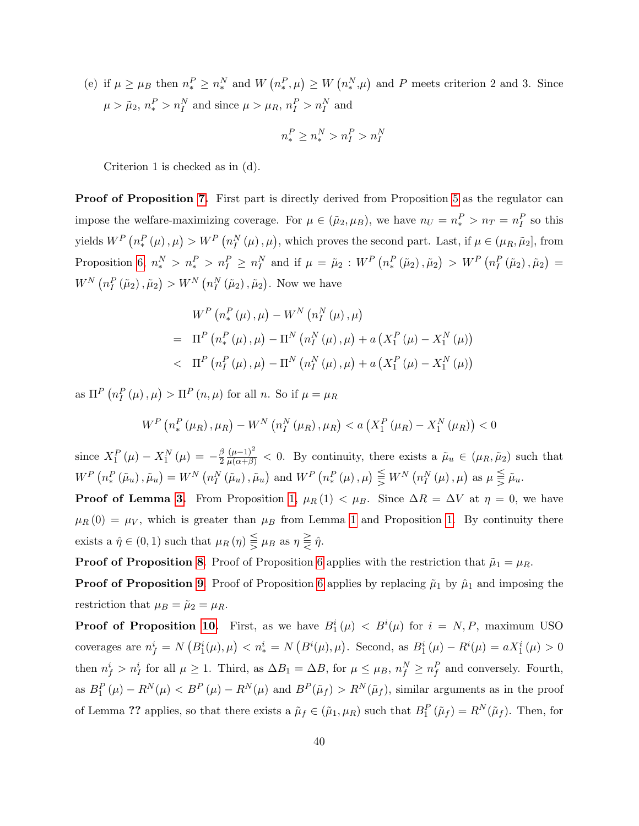(e) if  $\mu \ge \mu_B$  then  $n_*^P \ge n_*^N$  and  $W(n_*^P, \mu) \ge W(n_*^N, \mu)$  and P meets criterion 2 and 3. Since  $\mu > \tilde{\mu}_2, n_*^P > n_I^N$  and since  $\mu > \mu_R, n_I^P > n_I^N$  and

$$
n_*^P \geq n_*^N > n_I^P > n_I^N
$$

Criterion 1 is checked as in (d).

Proof of Proposition 7. First part is directly derived from Proposition 5 as the regulator can impose the welfare-maximizing coverage. For  $\mu \in (\tilde{\mu}_2, \mu_B)$ , we have  $n_U = n_*^P > n_T = n_I^P$  so this yields  $W^P\left(n_*^P\left(\mu\right),\mu\right) > W^P\left(n_I^N\left(\mu\right),\mu\right)$ , which proves the second part. Last, if  $\mu \in (\mu_R, \tilde{\mu}_2]$ , from Proposition 6,  $n_*^N > n_t^P > n_I^N \ge n_I^N$  and if  $\mu = \tilde{\mu}_2 : W^P(n_*^P(\tilde{\mu}_2), \tilde{\mu}_2) > W^P(n_I^P(\tilde{\mu}_2), \tilde{\mu}_2) =$  $W^N\left(n_I^P\left(\tilde{\mu}_2\right),\tilde{\mu}_2\right) > W^N\left(n_I^N\left(\tilde{\mu}_2\right),\tilde{\mu}_2\right)$ . Now we have

$$
W^{P} (n_{*}^{P} (\mu), \mu) - W^{N} (n_{I}^{N} (\mu), \mu)
$$
  
=  $\Pi^{P} (n_{*}^{P} (\mu), \mu) - \Pi^{N} (n_{I}^{N} (\mu), \mu) + a (X_{I}^{P} (\mu) - X_{I}^{N} (\mu))$   
 $\Pi^{P} (n_{I}^{P} (\mu), \mu) - \Pi^{N} (n_{I}^{N} (\mu), \mu) + a (X_{I}^{P} (\mu) - X_{I}^{N} (\mu))$ 

as  $\Pi^P(n_I^P(\mu), \mu) > \Pi^P(n, \mu)$  for all *n*. So if  $\mu = \mu_R$ 

$$
W^{P}\left(n_{*}^{P}\left(\mu_{R}\right),\mu_{R}\right)-W^{N}\left(n_{I}^{N}\left(\mu_{R}\right),\mu_{R}\right)
$$

since  $X_1^P(\mu) - X_1^N(\mu) = -\frac{\beta}{2}$ 2  $\frac{(\mu-1)^2}{\mu(\alpha+\beta)}$  < 0. By continuity, there exists a  $\tilde{\mu}_u \in (\mu_R, \tilde{\mu}_2)$  such that  $W^{P}\left(n_{*}^{P}\left(\tilde{\mu}_{u}\right),\tilde{\mu}_{u}\right)=W^{N}\left(n_{I}^{N}\left(\tilde{\mu}_{u}\right),\tilde{\mu}_{u}\right)$  and  $W^{P}\left(n_{*}^{P}\left(\mu\right),\mu\right)\leq W^{N}\left(n_{I}^{N}\left(\mu\right),\mu\right)$  as  $\mu\leqq\tilde{\mu}_{u}$ .

**Proof of Lemma 3.** From Proposition 1,  $\mu_R(1) < \mu_B$ . Since  $\Delta R = \Delta V$  at  $\eta = 0$ , we have  $\mu_R(0) = \mu_V$ , which is greater than  $\mu_B$  from Lemma 1 and Proposition 1. By continuity there exists a  $\hat{\eta} \in (0, 1)$  such that  $\mu_R(\eta) \leq \mu_B$  as  $\eta \geq \hat{\eta}$ .

**Proof of Proposition 8.** Proof of Proposition 6 applies with the restriction that  $\tilde{\mu}_1 = \mu_R$ .

**Proof of Proposition 9.** Proof of Proposition 6 applies by replacing  $\tilde{\mu}_1$  by  $\hat{\mu}_1$  and imposing the restriction that  $\mu_B = \tilde{\mu}_2 = \mu_R$ .

**Proof of Proposition 10.** First, as we have  $B_1^i(\mu) < B^i(\mu)$  for  $i = N, P$ , maximum USO coverages are  $n_f^i = N(B_1^i(\mu), \mu) < n_*^i = N(B^i(\mu), \mu)$ . Second, as  $B_1^i(\mu) - R^i(\mu) = aX_1^i(\mu) > 0$ then  $n_f^i > n_I^i$  for all  $\mu \ge 1$ . Third, as  $\Delta B_1 = \Delta B$ , for  $\mu \le \mu_B$ ,  $n_f^N \ge n_f^P$  and conversely. Fourth, as  $B_1^P(\mu) - R^N(\mu) < B^P(\mu) - R^N(\mu)$  and  $B^P(\tilde{\mu}_f) > R^N(\tilde{\mu}_f)$ , similar arguments as in the proof of Lemma ?? applies, so that there exists a  $\tilde{\mu}_f \in (\tilde{\mu}_1, \mu_R)$  such that  $B_1^P(\tilde{\mu}_f) = R^N(\tilde{\mu}_f)$ . Then, for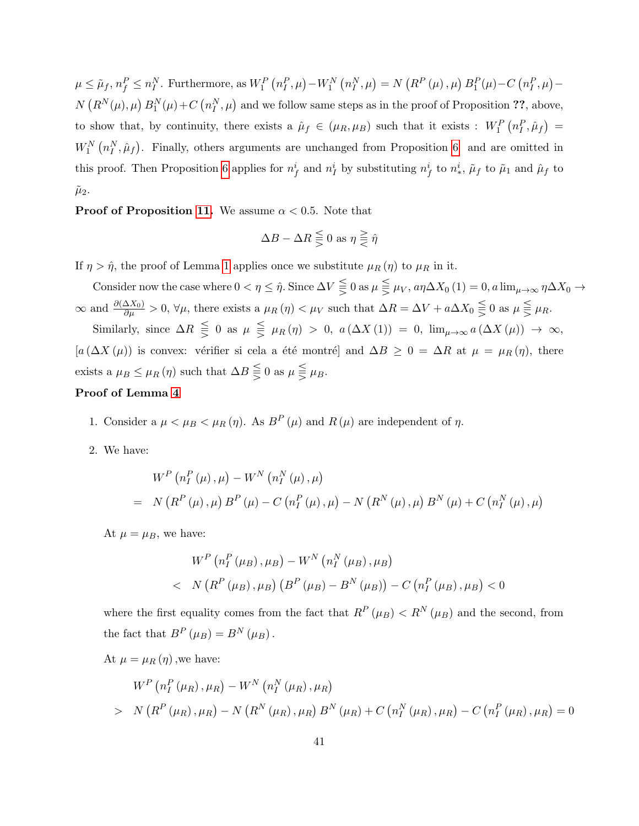$\mu \leq \tilde{\mu}_f, n_f^P \leq n_I^N$ . Furthermore, as  $W_1^P(n_I^P, \mu) - W_1^N(n_I^N, \mu) = N(R^P(\mu), \mu) B_1^P(\mu) - C(n_I^P, \mu) N(R^N(\mu), \mu) B_1^N(\mu) + C(n_I^N, \mu)$  and we follow same steps as in the proof of Proposition ??, above, to show that, by continuity, there exists a  $\hat{\mu}_f \in (\mu_R, \mu_B)$  such that it exists :  $W_1^P(n_I^P, \hat{\mu}_f)$  =  $W_1^N(n_I^N,\hat{\mu}_f)$ . Finally, others arguments are unchanged from Proposition 6 and are omitted in this proof. Then Proposition 6 applies for  $n_f^i$  and  $n_f^i$  by substituting  $n_f^i$  to  $n_*^i$ ,  $\tilde{\mu}_f$  to  $\tilde{\mu}_1$  and  $\hat{\mu}_f$  to  $\tilde{\mu}_2$ .

**Proof of Proposition 11.** We assume  $\alpha < 0.5$ . Note that

$$
\Delta B - \Delta R \leq 0 \text{ as } \eta \geq \hat{\eta}
$$

If  $\eta > \hat{\eta}$ , the proof of Lemma 1 applies once we substitute  $\mu_R(\eta)$  to  $\mu_R$  in it.

Consider now the case where  $0 < \eta \leq \hat{\eta}$ . Since  $\Delta V \leq 0$  as  $\mu \leq \mu_V$ ,  $a\eta \Delta X_0$  (1) = 0,  $a \lim_{\mu \to \infty} \eta \Delta X_0 \to$  $\infty$  and  $\frac{\partial(\Delta X_0)}{\partial \mu} > 0$ ,  $\forall \mu$ , there exists a  $\mu_R(\eta) < \mu_V$  such that  $\Delta R = \Delta V + a\Delta X_0 \leq 0$  as  $\mu \leq \mu_R$ .

Similarly, since  $\Delta R \leq 0$  as  $\mu \leq \mu_R(\eta) > 0$ ,  $a(\Delta X(1)) = 0$ ,  $\lim_{\mu \to \infty} a(\Delta X(\mu)) \to \infty$ ,  $[a (\Delta X(\mu))]$  is convex: vérifier si cela a été montré] and  $\Delta B \ge 0 = \Delta R$  at  $\mu = \mu_R(\eta)$ , there exists a  $\mu_B \leq \mu_R(\eta)$  such that  $\Delta B \leq 0$  as  $\mu \leq \mu_B$ .

#### Proof of Lemma 4

1. Consider a  $\mu < \mu_B < \mu_R(\eta)$ . As  $B^P(\mu)$  and  $R(\mu)$  are independent of  $\eta$ .

2. We have:

$$
W^{P} (n_{I}^{P} (\mu), \mu) - W^{N} (n_{I}^{N} (\mu), \mu)
$$
  
= N (R^{P} (\mu), \mu) B^{P} (\mu) - C (n\_{I}^{P} (\mu), \mu) - N (R^{N} (\mu), \mu) B^{N} (\mu) + C (n\_{I}^{N} (\mu), \mu)

At  $\mu = \mu_B$ , we have:

$$
W^{P} (n_{I}^{P} (\mu_{B}), \mu_{B}) - W^{N} (n_{I}^{N} (\mu_{B}), \mu_{B})
$$
  
< N (R^{P} (\mu\_{B}), \mu\_{B}) (B^{P} (\mu\_{B}) - B^{N} (\mu\_{B})) - C (n\_{I}^{P} (\mu\_{B}), \mu\_{B}) < 0

where the first equality comes from the fact that  $R^{P}(\mu) < R^{N}(\mu)$  and the second, from the fact that  $B^P(\mu_B) = B^N(\mu_B)$ .

At  $\mu = \mu_R(\eta)$ , we have:

$$
W^{P} (n_{I}^{P} (\mu_{R}), \mu_{R}) - W^{N} (n_{I}^{N} (\mu_{R}), \mu_{R})
$$
  
>  $N (R^{P} (\mu_{R}), \mu_{R}) - N (R^{N} (\mu_{R}), \mu_{R}) B^{N} (\mu_{R}) + C (n_{I}^{N} (\mu_{R}), \mu_{R}) - C (n_{I}^{P} (\mu_{R}), \mu_{R}) = 0$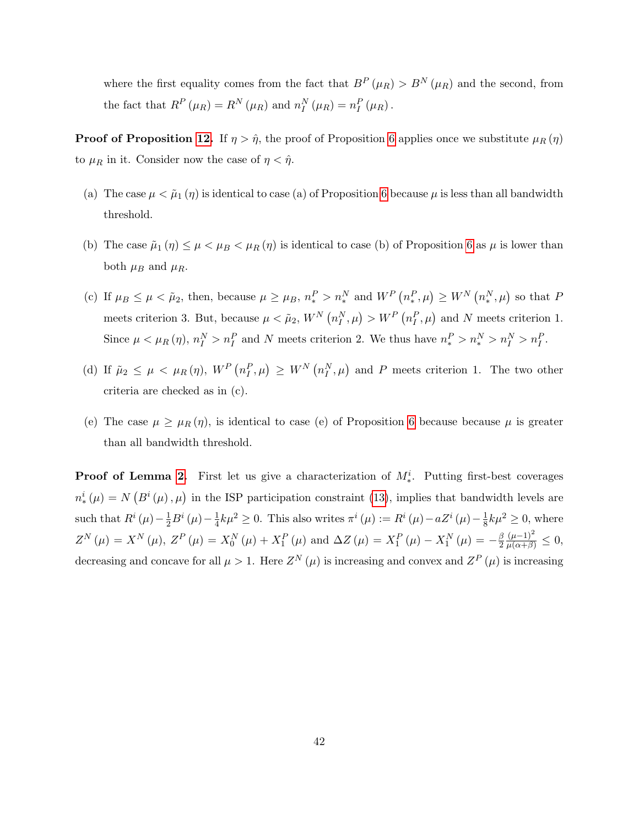where the first equality comes from the fact that  $B^P(\mu_R) > B^N(\mu_R)$  and the second, from the fact that  $R^P(\mu_R) = R^N(\mu_R)$  and  $n_I^N(\mu_R) = n_I^P(\mu_R)$ .

**Proof of Proposition 12.** If  $\eta > \hat{\eta}$ , the proof of Proposition 6 applies once we substitute  $\mu_R(\eta)$ to  $\mu_R$  in it. Consider now the case of  $\eta < \hat{\eta}$ .

- (a) The case  $\mu < \tilde{\mu}_1(\eta)$  is identical to case (a) of Proposition 6 because  $\mu$  is less than all bandwidth threshold.
- (b) The case  $\tilde{\mu}_1(\eta) \leq \mu < \mu_B < \mu_R(\eta)$  is identical to case (b) of Proposition 6 as  $\mu$  is lower than both  $\mu_B$  and  $\mu_R$ .
- (c) If  $\mu_B \le \mu < \tilde{\mu}_2$ , then, because  $\mu \ge \mu_B$ ,  $n_*^P > n_*^N$  and  $W^P(n_*^P, \mu) \ge W^N(n_*^N, \mu)$  so that P meets criterion 3. But, because  $\mu < \tilde{\mu}_2$ ,  $W^N(n_I^N, \mu) > W^P(n_I^P, \mu)$  and N meets criterion 1. Since  $\mu < \mu_R(\eta)$ ,  $n_I^N > n_I^P$  and N meets criterion 2. We thus have  $n_*^P > n_*^N > n_I^N > n_I^P$ .
- (d) If  $\tilde{\mu}_2 \leq \mu < \mu_R(\eta)$ ,  $W^P(n_I^P, \mu) \geq W^N(n_I^N, \mu)$  and P meets criterion 1. The two other criteria are checked as in (c).
- (e) The case  $\mu \geq \mu_R(\eta)$ , is identical to case (e) of Proposition 6 because because  $\mu$  is greater than all bandwidth threshold.

**Proof of Lemma 2.** First let us give a characterization of  $M_*^i$ . Putting first-best coverages  $n_*^i(\mu) = N\left(B^i(\mu), \mu\right)$  in the ISP participation constraint (13), implies that bandwidth levels are such that  $R^{i}(\mu) - \frac{1}{2}B^{i}(\mu) - \frac{1}{4}$  $\frac{1}{4}k\mu^2 \geq 0$ . This also writes  $\pi^i(\mu) := R^i(\mu) - aZ^i(\mu) - \frac{1}{8}$  $\frac{1}{8}k\mu^2 \geq 0$ , where  $Z^{N}(\mu) = X^{N}(\mu), Z^{P}(\mu) = X_{0}^{N}(\mu) + X_{1}^{P}(\mu)$  and  $\Delta Z(\mu) = X_{1}^{P}(\mu) - X_{1}^{N}(\mu) = -\frac{\beta}{2}$ 2  $\frac{(\mu-1)^2}{\mu(\alpha+\beta)} \leq 0,$ decreasing and concave for all  $\mu > 1$ . Here  $Z^N(\mu)$  is increasing and convex and  $Z^P(\mu)$  is increasing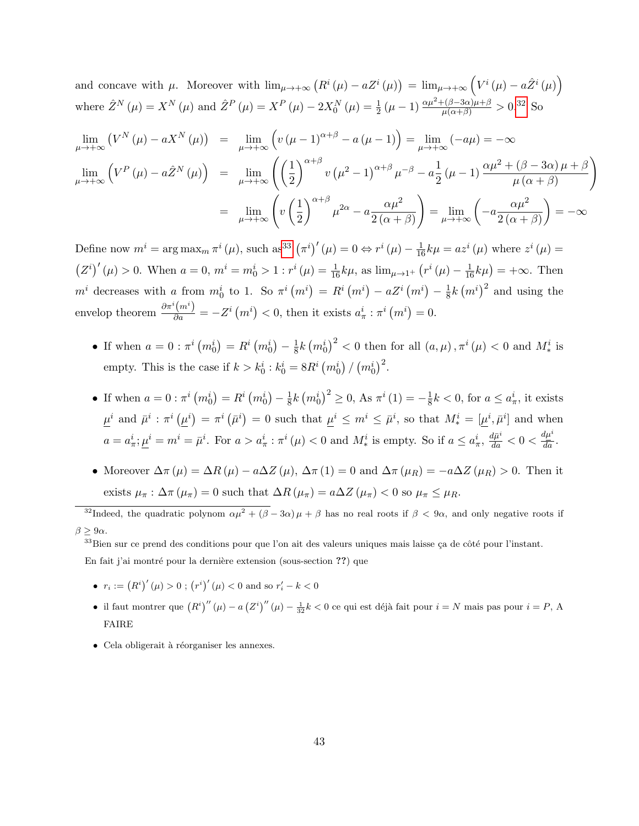and concave with  $\mu$ . Moreover with  $\lim_{\mu \to +\infty} (R^i(\mu) - aZ^i(\mu)) = \lim_{\mu \to +\infty} (V^i(\mu) - a\hat{Z}^i(\mu))$ where  $\hat{Z}^{N}(\mu) = X^{N}(\mu)$  and  $\hat{Z}^{P}(\mu) = X^{P}(\mu) - 2X_{0}^{N}(\mu) = \frac{1}{2}(\mu - 1) \frac{\alpha \mu^{2} + (\beta - 3\alpha)\mu + \beta}{\mu(\alpha + \beta)} > 0.32$  So

$$
\lim_{\mu \to +\infty} (V^N(\mu) - aX^N(\mu)) = \lim_{\mu \to +\infty} \left( v(\mu - 1)^{\alpha + \beta} - a(\mu - 1) \right) = \lim_{\mu \to +\infty} (-a\mu) = -\infty
$$
\n
$$
\lim_{\mu \to +\infty} \left( V^P(\mu) - a\hat{Z}^N(\mu) \right) = \lim_{\mu \to +\infty} \left( \left( \frac{1}{2} \right)^{\alpha + \beta} v(\mu^2 - 1)^{\alpha + \beta} \mu^{-\beta} - a\frac{1}{2}(\mu - 1) \frac{\alpha \mu^2 + (\beta - 3\alpha)\mu + \beta}{\mu(\alpha + \beta)} \right)
$$
\n
$$
= \lim_{\mu \to +\infty} \left( v\left( \frac{1}{2} \right)^{\alpha + \beta} \mu^{2\alpha} - a\frac{\alpha \mu^2}{2(\alpha + \beta)} \right) = \lim_{\mu \to +\infty} \left( -a\frac{\alpha \mu^2}{2(\alpha + \beta)} \right) = -\infty
$$

Define now  $m^i = \arg \max_m \pi^i(\mu)$ , such  $\operatorname{as}^{33}(\pi^i)'(\mu) = 0 \Leftrightarrow r^i(\mu) - \frac{1}{16}k\mu = a z^i(\mu)$  where  $z^i(\mu) =$  $(Z^{i})'(\mu) > 0$ . When  $a = 0$ ,  $m^{i} = m_{0}^{i} > 1$ :  $r^{i}(\mu) = \frac{1}{16}k\mu$ , as  $\lim_{\mu \to 1^{+}} (r^{i}(\mu) - \frac{1}{16}k\mu) = +\infty$ . Then  $m^i$  decreases with a from  $m^i_0$  to 1. So  $\pi^i(m^i) = R^i(m^i) - aZ^i(m^i) - \frac{1}{8}$  $\frac{1}{8}k\left(m^{i}\right)^{2}$  and using the envelop theorem  $\frac{\partial \pi^i(m^i)}{\partial a} = -Z^i(m^i) < 0$ , then it exists  $a^i_\pi : \pi^i(m^i) = 0$ .

- If when  $a = 0 : \pi^i (m_0^i) = R^i (m_0^i) \frac{1}{8}$  $\frac{1}{8}k\left(m_0^i\right)^2 < 0$  then for all  $(a, \mu), \pi^i(\mu) < 0$  and  $M_*^i$  is empty. This is the case if  $k > k_0^i : k_0^i = 8R^i (m_0^i) / (m_0^i)^2$ .
- If when  $a = 0 : \pi^i (m_0^i) = R^i (m_0^i) \frac{1}{8}$  $\frac{1}{8}k\left(m_0^i\right)^2 \geq 0$ , As  $\pi^i(1) = -\frac{1}{8}$  $\frac{1}{8}k < 0$ , for  $a \leq a_{\pi}^{i}$ , it exists  $\underline{\mu}^i$  and  $\bar{\mu}^i : \pi^i (\underline{\mu}^i) = \pi^i (\bar{\mu}^i) = 0$  such that  $\underline{\mu}^i \leq m^i \leq \bar{\mu}^i$ , so that  $M_*^i = [\underline{\mu}^i, \bar{\mu}^i]$  and when  $a = a_{\pi}^i$ ;  $\underline{\mu}^i = m^i = \overline{\mu}^i$ . For  $a > a_{\pi}^i$  :  $\pi^i(\mu) < 0$  and  $M_*^i$  is empty. So if  $a \leq a_{\pi}^i$ ,  $\frac{d\overline{\mu}^i}{da} < 0 < \frac{d\mu^i}{\overline{da}}$ .
- Moreover  $\Delta \pi(\mu) = \Delta R(\mu) a\Delta Z(\mu)$ ,  $\Delta \pi(1) = 0$  and  $\Delta \pi(\mu_R) = -a\Delta Z(\mu_R) > 0$ . Then it exists  $\mu_{\pi} : \Delta \pi (\mu_{\pi}) = 0$  such that  $\Delta R (\mu_{\pi}) = a \Delta Z (\mu_{\pi}) < 0$  so  $\mu_{\pi} \leq \mu_R$ .

En fait j'ai montré pour la dernière extension (sous-section ??) que

- $r_i := (R^i)'(\mu) > 0$ ;  $(r^i)'(\mu) < 0$  and so  $r'_i k < 0$
- il faut montrer que  $(R^i)''(\mu) a(Z^i)''(\mu) \frac{1}{32}k < 0$  ce qui est déjà fait pour  $i = N$  mais pas pour  $i = P$ , A FAIRE
- $\bullet$  Cela obligerait à réorganiser les annexes.

<sup>&</sup>lt;sup>32</sup>Indeed, the quadratic polynom  $\alpha\mu^2 + (\beta - 3\alpha)\mu + \beta$  has no real roots if  $\beta < 9\alpha$ , and only negative roots if  $\beta > 9\alpha$ .

 $33$ Bien sur ce prend des conditions pour que l'on ait des valeurs uniques mais laisse ça de côté pour l'instant.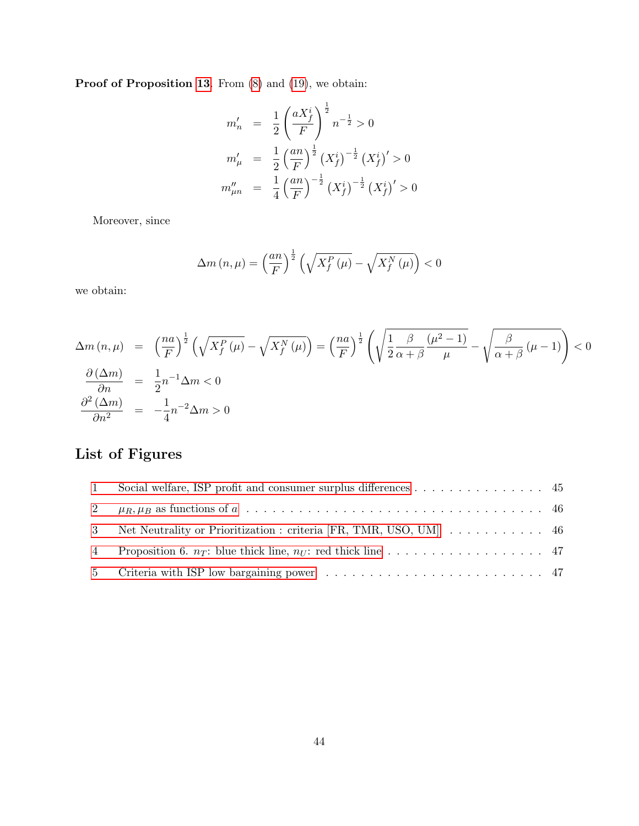Proof of Proposition 13. From  $(8)$  and  $(19)$ , we obtain:

$$
m'_n = \frac{1}{2} \left(\frac{aX_f^i}{F}\right)^{\frac{1}{2}} n^{-\frac{1}{2}} > 0
$$
  
\n
$$
m'_\mu = \frac{1}{2} \left(\frac{an}{F}\right)^{\frac{1}{2}} \left(X_f^i\right)^{-\frac{1}{2}} \left(X_f^i\right)' > 0
$$
  
\n
$$
m''_{\mu n} = \frac{1}{4} \left(\frac{an}{F}\right)^{-\frac{1}{2}} \left(X_f^i\right)^{-\frac{1}{2}} \left(X_f^i\right)' > 0
$$

Moreover, since

$$
\Delta m\left(n,\mu\right) = \left(\frac{an}{F}\right)^{\frac{1}{2}} \left(\sqrt{X_f^P\left(\mu\right)} - \sqrt{X_f^N\left(\mu\right)}\right) < 0
$$

we obtain:

$$
\Delta m(n,\mu) = \left(\frac{na}{F}\right)^{\frac{1}{2}} \left(\sqrt{X_f^P(\mu)} - \sqrt{X_f^N(\mu)}\right) = \left(\frac{na}{F}\right)^{\frac{1}{2}} \left(\sqrt{\frac{1}{2}\frac{\beta}{\alpha+\beta}\frac{(\mu^2-1)}{\mu}} - \sqrt{\frac{\beta}{\alpha+\beta}(\mu-1)}\right) < 0
$$
  

$$
\frac{\partial(\Delta m)}{\partial n} = \frac{1}{2}n^{-1}\Delta m < 0
$$
  

$$
\frac{\partial^2(\Delta m)}{\partial n^2} = -\frac{1}{4}n^{-2}\Delta m > 0
$$

# List of Figures

| $\mathbf{1}$   | Social welfare, ISP profit and consumer surplus differences $\dots \dots \dots \dots \dots$ |  |
|----------------|---------------------------------------------------------------------------------------------|--|
|                |                                                                                             |  |
|                | 3 Net Neutrality or Prioritization : criteria [FR, TMR, USO, UM] 46                         |  |
| $\overline{4}$ |                                                                                             |  |
|                |                                                                                             |  |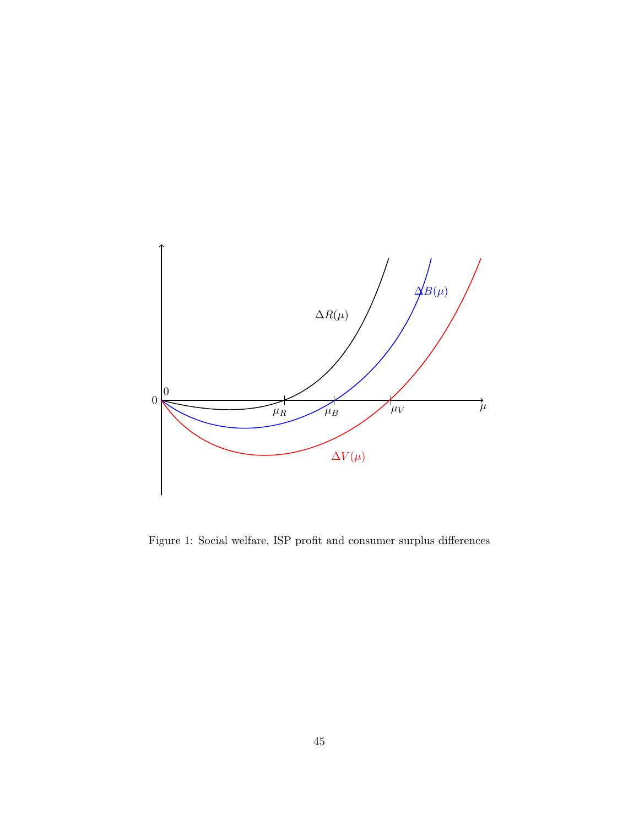

Figure 1: Social welfare, ISP profit and consumer surplus differences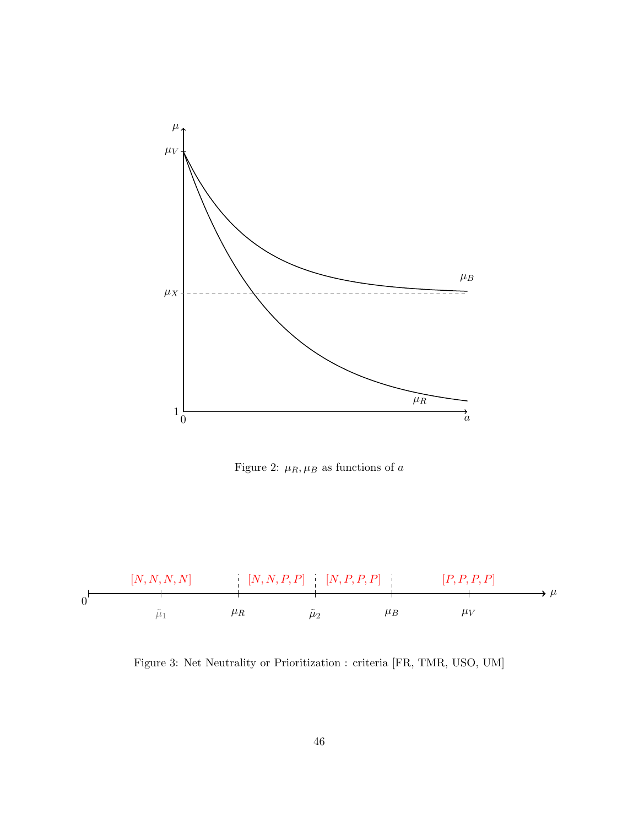

Figure 2:  $\mu_R, \mu_B$  as functions of  $a$ 



Figure 3: Net Neutrality or Prioritization : criteria [FR, TMR, USO, UM]